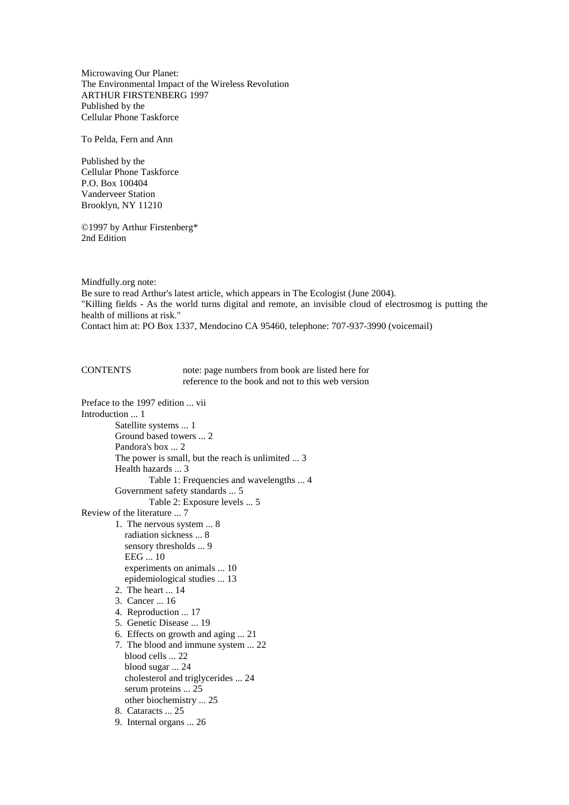Microwaving Our Planet: The Environmental Impact of the Wireless Revolution ARTHUR FIRSTENBERG 1997 Published by the Cellular Phone Taskforce

To Pelda, Fern and Ann

Published by the Cellular Phone Taskforce P.O. Box 100404 Vanderveer Station Brooklyn, NY 11210

©1997 by Arthur Firstenberg\* 2nd Edition

Mindfully.org note:

Be sure to read Arthur's latest article, which appears in The Ecologist (June 2004). "Killing fields - As the world turns digital and remote, an invisible cloud of electrosmog is putting the health of millions at risk." Contact him at: PO Box 1337, Mendocino CA 95460, telephone: 707-937-3990 (voicemail)

| <b>CONTENTS</b> |
|-----------------|
|-----------------|

note: page numbers from book are listed here for reference to the book and not to this web version

Preface to the 1997 edition ... vii Introduction ... 1 Satellite systems ... 1 Ground based towers ... 2 Pandora's box ... 2 The power is small, but the reach is unlimited ... 3 Health hazards ... 3 Table 1: Frequencies and wavelengths ... 4 Government safety standards ... 5 Table 2: Exposure levels ... 5 Review of the literature ... 7 1. The nervous system ... 8 radiation sickness ... 8 sensory thresholds ... 9 EEG ... 10 experiments on animals ... 10 epidemiological studies ... 13 2. The heart ... 14 3. Cancer ... 16 4. Reproduction ... 17 5. Genetic Disease ... 19 6. Effects on growth and aging ... 21 7. The blood and immune system ... 22 blood cells ... 22 blood sugar ... 24 cholesterol and triglycerides ... 24 serum proteins ... 25 other biochemistry ... 25 8. Cataracts ... 25 9. Internal organs ... 26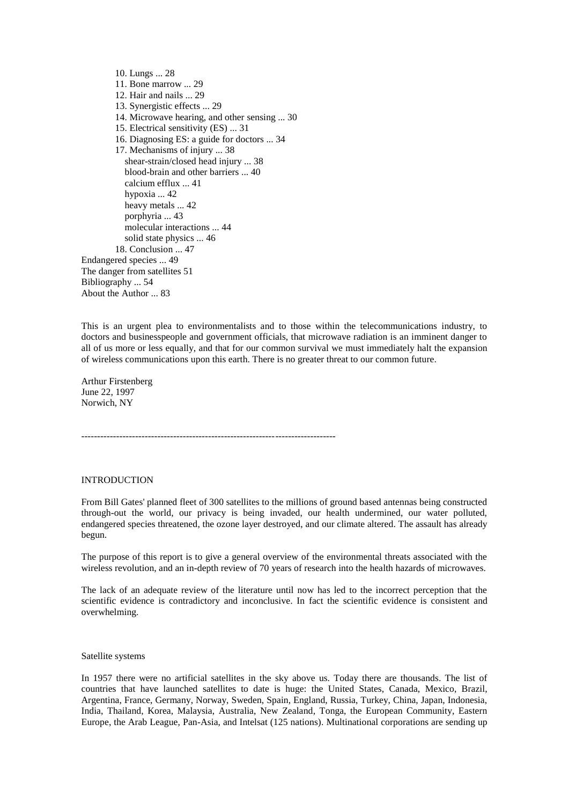10. Lungs ... 28 11. Bone marrow ... 29 12. Hair and nails ... 29 13. Synergistic effects ... 29 14. Microwave hearing, and other sensing ... 30 15. Electrical sensitivity (ES) ... 31 16. Diagnosing ES: a guide for doctors ... 34 17. Mechanisms of injury ... 38 shear-strain/closed head injury ... 38 blood-brain and other barriers ... 40 calcium efflux ... 41 hypoxia ... 42 heavy metals ... 42 porphyria ... 43 molecular interactions ... 44 solid state physics ... 46 18. Conclusion ... 47 Endangered species ... 49 The danger from satellites 51 Bibliography ... 54 About the Author ... 83

This is an urgent plea to environmentalists and to those within the telecommunications industry, to doctors and businesspeople and government officials, that microwave radiation is an imminent danger to all of us more or less equally, and that for our common survival we must immediately halt the expansion of wireless communications upon this earth. There is no greater threat to our common future.

Arthur Firstenberg June 22, 1997 Norwich, NY

--------------------------------------------------------------------------------

# INTRODUCTION

From Bill Gates' planned fleet of 300 satellites to the millions of ground based antennas being constructed through-out the world, our privacy is being invaded, our health undermined, our water polluted, endangered species threatened, the ozone layer destroyed, and our climate altered. The assault has already begun.

The purpose of this report is to give a general overview of the environmental threats associated with the wireless revolution, and an in-depth review of 70 years of research into the health hazards of microwaves.

The lack of an adequate review of the literature until now has led to the incorrect perception that the scientific evidence is contradictory and inconclusive. In fact the scientific evidence is consistent and overwhelming.

#### Satellite systems

In 1957 there were no artificial satellites in the sky above us. Today there are thousands. The list of countries that have launched satellites to date is huge: the United States, Canada, Mexico, Brazil, Argentina, France, Germany, Norway, Sweden, Spain, England, Russia, Turkey, China, Japan, Indonesia, India, Thailand, Korea, Malaysia, Australia, New Zealand, Tonga, the European Community, Eastern Europe, the Arab League, Pan-Asia, and Intelsat (125 nations). Multinational corporations are sending up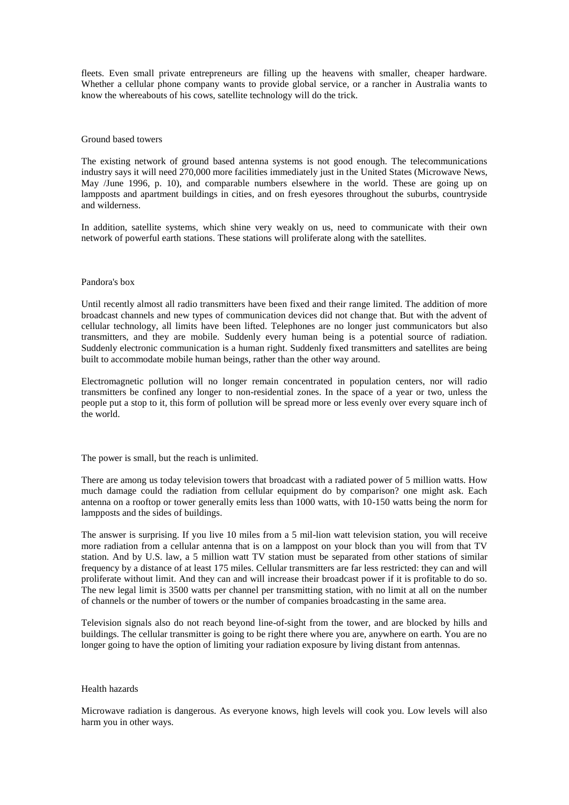fleets. Even small private entrepreneurs are filling up the heavens with smaller, cheaper hardware. Whether a cellular phone company wants to provide global service, or a rancher in Australia wants to know the whereabouts of his cows, satellite technology will do the trick.

# Ground based towers

The existing network of ground based antenna systems is not good enough. The telecommunications industry says it will need 270,000 more facilities immediately just in the United States (Microwave News, May /June 1996, p. 10), and comparable numbers elsewhere in the world. These are going up on lampposts and apartment buildings in cities, and on fresh eyesores throughout the suburbs, countryside and wilderness.

In addition, satellite systems, which shine very weakly on us, need to communicate with their own network of powerful earth stations. These stations will proliferate along with the satellites.

# Pandora's box

Until recently almost all radio transmitters have been fixed and their range limited. The addition of more broadcast channels and new types of communication devices did not change that. But with the advent of cellular technology, all limits have been lifted. Telephones are no longer just communicators but also transmitters, and they are mobile. Suddenly every human being is a potential source of radiation. Suddenly electronic communication is a human right. Suddenly fixed transmitters and satellites are being built to accommodate mobile human beings, rather than the other way around.

Electromagnetic pollution will no longer remain concentrated in population centers, nor will radio transmitters be confined any longer to non-residential zones. In the space of a year or two, unless the people put a stop to it, this form of pollution will be spread more or less evenly over every square inch of the world.

The power is small, but the reach is unlimited.

There are among us today television towers that broadcast with a radiated power of 5 million watts. How much damage could the radiation from cellular equipment do by comparison? one might ask. Each antenna on a rooftop or tower generally emits less than 1000 watts, with 10-150 watts being the norm for lampposts and the sides of buildings.

The answer is surprising. If you live 10 miles from a 5 mil-lion watt television station, you will receive more radiation from a cellular antenna that is on a lamppost on your block than you will from that TV station. And by U.S. law, a 5 million watt TV station must be separated from other stations of similar frequency by a distance of at least 175 miles. Cellular transmitters are far less restricted: they can and will proliferate without limit. And they can and will increase their broadcast power if it is profitable to do so. The new legal limit is 3500 watts per channel per transmitting station, with no limit at all on the number of channels or the number of towers or the number of companies broadcasting in the same area.

Television signals also do not reach beyond line-of-sight from the tower, and are blocked by hills and buildings. The cellular transmitter is going to be right there where you are, anywhere on earth. You are no longer going to have the option of limiting your radiation exposure by living distant from antennas.

# Health hazards

Microwave radiation is dangerous. As everyone knows, high levels will cook you. Low levels will also harm you in other ways.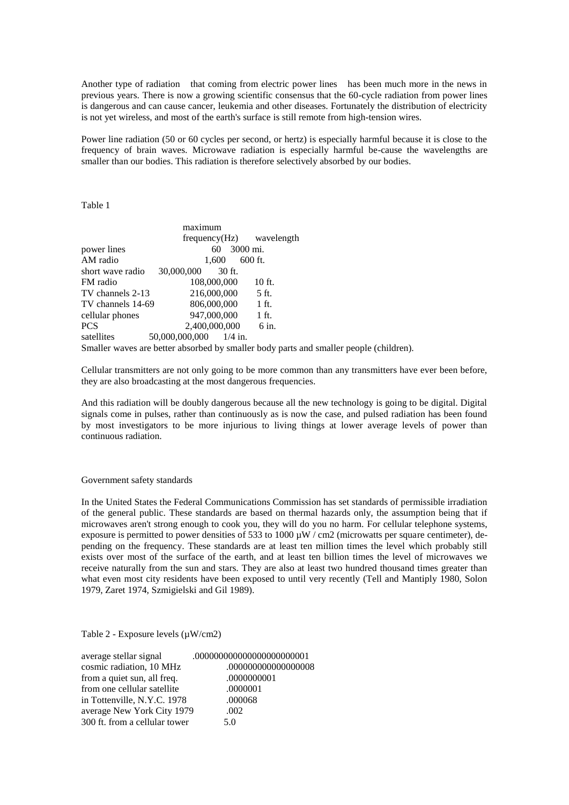Another type of radiation that coming from electric power lines has been much more in the news in previous years. There is now a growing scientific consensus that the 60-cycle radiation from power lines is dangerous and can cause cancer, leukemia and other diseases. Fortunately the distribution of electricity is not yet wireless, and most of the earth's surface is still remote from high-tension wires.

Power line radiation (50 or 60 cycles per second, or hertz) is especially harmful because it is close to the frequency of brain waves. Microwave radiation is especially harmful be-cause the wavelengths are smaller than our bodies. This radiation is therefore selectively absorbed by our bodies.

Table 1

|                                                                                        | maximum                     |            |  |
|----------------------------------------------------------------------------------------|-----------------------------|------------|--|
|                                                                                        | frequency(Hz)               | wavelength |  |
| power lines                                                                            | 3000 mi.<br>60              |            |  |
| AM radio                                                                               | 1.600                       | $600$ ft.  |  |
| short wave radio                                                                       | 30,000,000<br>30 ft.        |            |  |
| FM radio                                                                               | 108,000,000                 | 10 ft.     |  |
| TV channels 2-13                                                                       | 216,000,000                 | 5 ft.      |  |
| TV channels 14-69                                                                      | 806,000,000                 | 1 ft.      |  |
| cellular phones                                                                        | 947,000,000                 | 1 ft.      |  |
| <b>PCS</b>                                                                             | 2,400,000,000               | 6 in.      |  |
| satellites                                                                             | 50,000,000,000<br>$1/4$ in. |            |  |
| Smaller waves are better absorbed by smaller body parts and smaller people (children). |                             |            |  |

Cellular transmitters are not only going to be more common than any transmitters have ever been before, they are also broadcasting at the most dangerous frequencies.

And this radiation will be doubly dangerous because all the new technology is going to be digital. Digital signals come in pulses, rather than continuously as is now the case, and pulsed radiation has been found by most investigators to be more injurious to living things at lower average levels of power than continuous radiation.

#### Government safety standards

In the United States the Federal Communications Commission has set standards of permissible irradiation of the general public. These standards are based on thermal hazards only, the assumption being that if microwaves aren't strong enough to cook you, they will do you no harm. For cellular telephone systems, exposure is permitted to power densities of 533 to 1000  $\mu$ W / cm2 (microwatts per square centimeter), depending on the frequency. These standards are at least ten million times the level which probably still exists over most of the surface of the earth, and at least ten billion times the level of microwaves we receive naturally from the sun and stars. They are also at least two hundred thousand times greater than what even most city residents have been exposed to until very recently (Tell and Mantiply 1980, Solon 1979, Zaret 1974, Szmigielski and Gil 1989).

Table 2 - Exposure levels ( $\mu$ W/cm2)

| average stellar signal        |                    |
|-------------------------------|--------------------|
| cosmic radiation, 10 MHz      | .00000000000000008 |
| from a quiet sun, all freq.   | .0000000001        |
| from one cellular satellite   | .0000001           |
| in Tottenville, N.Y.C. 1978   | .000068            |
| average New York City 1979    | .002               |
| 300 ft. from a cellular tower | 5.0                |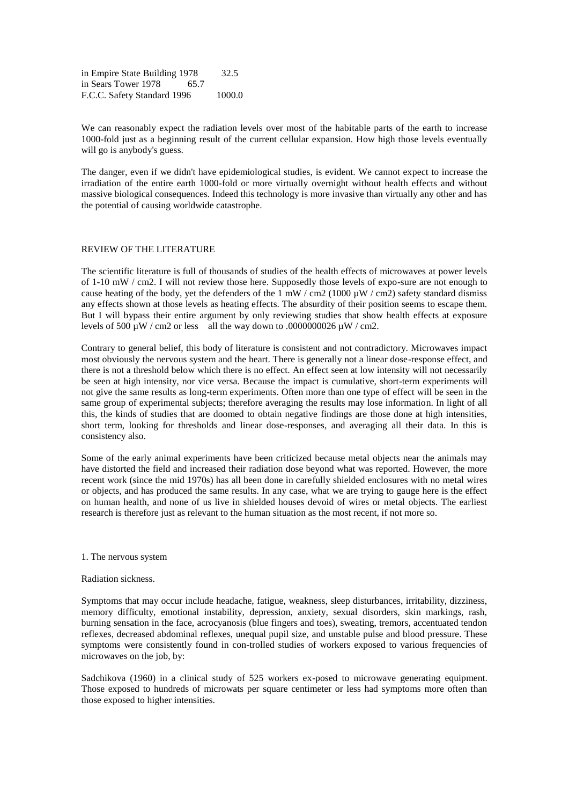in Empire State Building 1978 32.5 in Sears Tower 1978 65.7 F.C.C. Safety Standard 1996 1000.0

We can reasonably expect the radiation levels over most of the habitable parts of the earth to increase 1000-fold just as a beginning result of the current cellular expansion. How high those levels eventually will go is anybody's guess.

The danger, even if we didn't have epidemiological studies, is evident. We cannot expect to increase the irradiation of the entire earth 1000-fold or more virtually overnight without health effects and without massive biological consequences. Indeed this technology is more invasive than virtually any other and has the potential of causing worldwide catastrophe.

# REVIEW OF THE LITERATURE

The scientific literature is full of thousands of studies of the health effects of microwaves at power levels of 1-10 mW / cm2. I will not review those here. Supposedly those levels of expo-sure are not enough to cause heating of the body, yet the defenders of the  $1 \text{ mW}$  / cm2 (1000  $\mu$ W / cm2) safety standard dismiss any effects shown at those levels as heating effects. The absurdity of their position seems to escape them. But I will bypass their entire argument by only reviewing studies that show health effects at exposure levels of 500  $\mu$ W / cm2 or less all the way down to .0000000026  $\mu$ W / cm2.

Contrary to general belief, this body of literature is consistent and not contradictory. Microwaves impact most obviously the nervous system and the heart. There is generally not a linear dose-response effect, and there is not a threshold below which there is no effect. An effect seen at low intensity will not necessarily be seen at high intensity, nor vice versa. Because the impact is cumulative, short-term experiments will not give the same results as long-term experiments. Often more than one type of effect will be seen in the same group of experimental subjects; therefore averaging the results may lose information. In light of all this, the kinds of studies that are doomed to obtain negative findings are those done at high intensities, short term, looking for thresholds and linear dose-responses, and averaging all their data. In this is consistency also.

Some of the early animal experiments have been criticized because metal objects near the animals may have distorted the field and increased their radiation dose beyond what was reported. However, the more recent work (since the mid 1970s) has all been done in carefully shielded enclosures with no metal wires or objects, and has produced the same results. In any case, what we are trying to gauge here is the effect on human health, and none of us live in shielded houses devoid of wires or metal objects. The earliest research is therefore just as relevant to the human situation as the most recent, if not more so.

# 1. The nervous system

# Radiation sickness.

Symptoms that may occur include headache, fatigue, weakness, sleep disturbances, irritability, dizziness, memory difficulty, emotional instability, depression, anxiety, sexual disorders, skin markings, rash, burning sensation in the face, acrocyanosis (blue fingers and toes), sweating, tremors, accentuated tendon reflexes, decreased abdominal reflexes, unequal pupil size, and unstable pulse and blood pressure. These symptoms were consistently found in con-trolled studies of workers exposed to various frequencies of microwaves on the job, by:

Sadchikova (1960) in a clinical study of 525 workers ex-posed to microwave generating equipment. Those exposed to hundreds of microwats per square centimeter or less had symptoms more often than those exposed to higher intensities.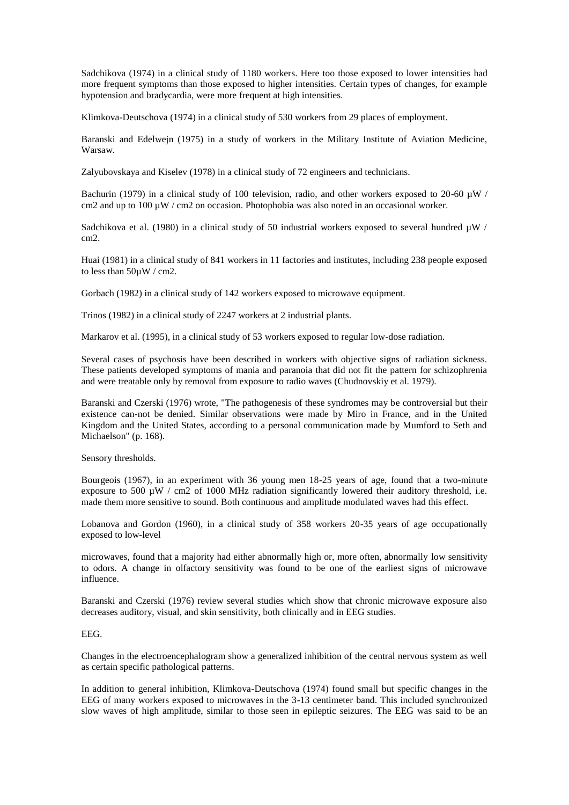Sadchikova (1974) in a clinical study of 1180 workers. Here too those exposed to lower intensities had more frequent symptoms than those exposed to higher intensities. Certain types of changes, for example hypotension and bradycardia, were more frequent at high intensities.

Klimkova-Deutschova (1974) in a clinical study of 530 workers from 29 places of employment.

Baranski and Edelwejn (1975) in a study of workers in the Military Institute of Aviation Medicine, Warsaw.

Zalyubovskaya and Kiselev (1978) in a clinical study of 72 engineers and technicians.

Bachurin (1979) in a clinical study of 100 television, radio, and other workers exposed to 20-60  $\mu$ W / cm2 and up to 100 µW / cm2 on occasion. Photophobia was also noted in an occasional worker.

Sadchikova et al. (1980) in a clinical study of 50 industrial workers exposed to several hundred  $\mu$ W / cm2.

Huai (1981) in a clinical study of 841 workers in 11 factories and institutes, including 238 people exposed to less than 50µW / cm2.

Gorbach (1982) in a clinical study of 142 workers exposed to microwave equipment.

Trinos (1982) in a clinical study of 2247 workers at 2 industrial plants.

Markarov et al. (1995), in a clinical study of 53 workers exposed to regular low-dose radiation.

Several cases of psychosis have been described in workers with objective signs of radiation sickness. These patients developed symptoms of mania and paranoia that did not fit the pattern for schizophrenia and were treatable only by removal from exposure to radio waves (Chudnovskiy et al. 1979).

Baranski and Czerski (1976) wrote, "The pathogenesis of these syndromes may be controversial but their existence can-not be denied. Similar observations were made by Miro in France, and in the United Kingdom and the United States, according to a personal communication made by Mumford to Seth and Michaelson" (p. 168).

Sensory thresholds.

Bourgeois (1967), in an experiment with 36 young men 18-25 years of age, found that a two-minute exposure to 500  $\mu$ W / cm2 of 1000 MHz radiation significantly lowered their auditory threshold, i.e. made them more sensitive to sound. Both continuous and amplitude modulated waves had this effect.

Lobanova and Gordon (1960), in a clinical study of 358 workers 20-35 years of age occupationally exposed to low-level

microwaves, found that a majority had either abnormally high or, more often, abnormally low sensitivity to odors. A change in olfactory sensitivity was found to be one of the earliest signs of microwave influence.

Baranski and Czerski (1976) review several studies which show that chronic microwave exposure also decreases auditory, visual, and skin sensitivity, both clinically and in EEG studies.

EEG.

Changes in the electroencephalogram show a generalized inhibition of the central nervous system as well as certain specific pathological patterns.

In addition to general inhibition, Klimkova-Deutschova (1974) found small but specific changes in the EEG of many workers exposed to microwaves in the 3-13 centimeter band. This included synchronized slow waves of high amplitude, similar to those seen in epileptic seizures. The EEG was said to be an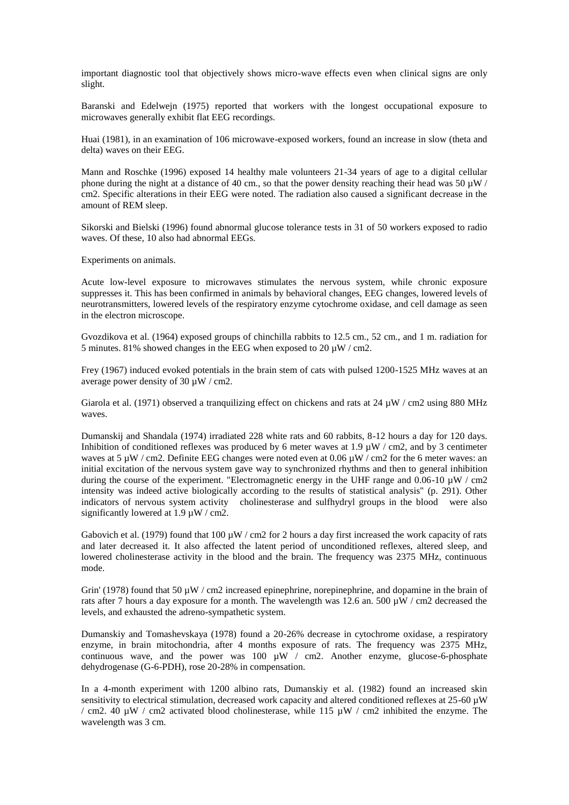important diagnostic tool that objectively shows micro-wave effects even when clinical signs are only slight.

Baranski and Edelwejn (1975) reported that workers with the longest occupational exposure to microwaves generally exhibit flat EEG recordings.

Huai (1981), in an examination of 106 microwave-exposed workers, found an increase in slow (theta and delta) waves on their EEG.

Mann and Roschke (1996) exposed 14 healthy male volunteers 21-34 years of age to a digital cellular phone during the night at a distance of 40 cm., so that the power density reaching their head was 50  $\mu$ W / cm2. Specific alterations in their EEG were noted. The radiation also caused a significant decrease in the amount of REM sleep.

Sikorski and Bielski (1996) found abnormal glucose tolerance tests in 31 of 50 workers exposed to radio waves. Of these, 10 also had abnormal EEGs.

Experiments on animals.

Acute low-level exposure to microwaves stimulates the nervous system, while chronic exposure suppresses it. This has been confirmed in animals by behavioral changes, EEG changes, lowered levels of neurotransmitters, lowered levels of the respiratory enzyme cytochrome oxidase, and cell damage as seen in the electron microscope.

Gvozdikova et al. (1964) exposed groups of chinchilla rabbits to 12.5 cm., 52 cm., and 1 m. radiation for 5 minutes. 81% showed changes in the EEG when exposed to 20 µW / cm2.

Frey (1967) induced evoked potentials in the brain stem of cats with pulsed 1200-1525 MHz waves at an average power density of 30 µW / cm2.

Giarola et al. (1971) observed a tranquilizing effect on chickens and rats at 24  $\mu$ W / cm2 using 880 MHz waves.

Dumanskij and Shandala (1974) irradiated 228 white rats and 60 rabbits, 8-12 hours a day for 120 days. Inhibition of conditioned reflexes was produced by 6 meter waves at  $1.9 \text{ µW}$  / cm2, and by 3 centimeter waves at 5 uW / cm2. Definite EEG changes were noted even at 0.06 uW / cm2 for the 6 meter waves: an initial excitation of the nervous system gave way to synchronized rhythms and then to general inhibition during the course of the experiment. "Electromagnetic energy in the UHF range and  $0.06-10 \mu W$  / cm2 intensity was indeed active biologically according to the results of statistical analysis" (p. 291). Other indicators of nervous system activity cholinesterase and sulfhydryl groups in the blood were also significantly lowered at  $1.9 \mu W$  / cm2.

Gabovich et al. (1979) found that 100  $\mu$ W / cm2 for 2 hours a day first increased the work capacity of rats and later decreased it. It also affected the latent period of unconditioned reflexes, altered sleep, and lowered cholinesterase activity in the blood and the brain. The frequency was 2375 MHz, continuous mode.

Grin' (1978) found that 50  $\mu$ W / cm2 increased epinephrine, norepinephrine, and dopamine in the brain of rats after 7 hours a day exposure for a month. The wavelength was 12.6 an. 500 µW / cm2 decreased the levels, and exhausted the adreno-sympathetic system.

Dumanskiy and Tomashevskaya (1978) found a 20-26% decrease in cytochrome oxidase, a respiratory enzyme, in brain mitochondria, after 4 months exposure of rats. The frequency was 2375 MHz, continuous wave, and the power was 100  $\mu$ W / cm2. Another enzyme, glucose-6-phosphate dehydrogenase (G-6-PDH), rose 20-28% in compensation.

In a 4-month experiment with 1200 albino rats, Dumanskiy et al. (1982) found an increased skin sensitivity to electrical stimulation, decreased work capacity and altered conditioned reflexes at 25-60  $\mu$ W / cm2. 40  $\mu$ W / cm2 activated blood cholinesterase, while 115  $\mu$ W / cm2 inhibited the enzyme. The wavelength was 3 cm.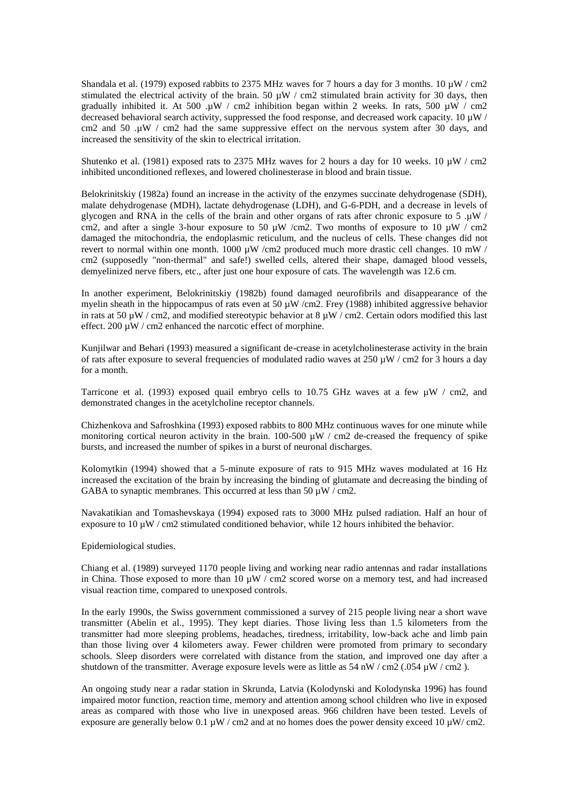Shandala et al. (1979) exposed rabbits to 2375 MHz waves for 7 hours a day for 3 months. 10  $\mu$ W / cm2 stimulated the electrical activity of the brain. 50  $\mu$ W / cm2 stimulated brain activity for 30 days, then gradually inhibited it. At 500 . $\mu$ W / cm2 inhibition began within 2 weeks. In rats, 500  $\mu$ W / cm2 decreased behavioral search activity, suppressed the food response, and decreased work capacity. 10  $\mu$ W / cm2 and 50 .µW / cm2 had the same suppressive effect on the nervous system after 30 days, and increased the sensitivity of the skin to electrical irritation.

Shutenko et al. (1981) exposed rats to 2375 MHz waves for 2 hours a day for 10 weeks. 10  $\mu$ W / cm2 inhibited unconditioned reflexes, and lowered cholinesterase in blood and brain tissue.

Belokrinitskiy (1982a) found an increase in the activity of the enzymes succinate dehydrogenase (SDH), malate dehydrogenase (MDH), lactate dehydrogenase (LDH), and G-6-PDH, and a decrease in levels of glycogen and RNA in the cells of the brain and other organs of rats after chronic exposure to 5 .µW / cm2, and after a single 3-hour exposure to 50  $\mu$ W /cm2. Two months of exposure to 10  $\mu$ W / cm2 damaged the mitochondria, the endoplasmic reticulum, and the nucleus of cells. These changes did not revert to normal within one month. 1000  $\mu$ W /cm2 produced much more drastic cell changes. 10 mW / cm2 (supposedly "non-thermal" and safe!) swelled cells, altered their shape, damaged blood vessels, demyelinized nerve fibers, etc., after just one hour exposure of cats. The wavelength was 12.6 cm.

In another experiment, Belokrinitskiy (1982b) found damaged neurofibrils and disappearance of the myelin sheath in the hippocampus of rats even at 50  $\mu$ W /cm2. Frey (1988) inhibited aggressive behavior in rats at 50  $\mu$ W / cm2, and modified stereotypic behavior at 8  $\mu$ W / cm2. Certain odors modified this last effect. 200  $\mu$ W / cm2 enhanced the narcotic effect of morphine.

Kunjilwar and Behari (1993) measured a significant de-crease in acetylcholinesterase activity in the brain of rats after exposure to several frequencies of modulated radio waves at 250  $\mu$ W / cm2 for 3 hours a day for a month.

Tarricone et al. (1993) exposed quail embryo cells to 10.75 GHz waves at a few  $\mu$ W / cm2, and demonstrated changes in the acetylcholine receptor channels.

Chizhenkova and Safroshkina (1993) exposed rabbits to 800 MHz continuous waves for one minute while monitoring cortical neuron activity in the brain.  $100-500 \mu W / \text{cm}$  de-creased the frequency of spike bursts, and increased the number of spikes in a burst of neuronal discharges.

Kolomytkin (1994) showed that a 5-minute exposure of rats to 915 MHz waves modulated at 16 Hz increased the excitation of the brain by increasing the binding of glutamate and decreasing the binding of GABA to synaptic membranes. This occurred at less than 50  $\mu$ W / cm2.

Navakatikian and Tomashevskaya (1994) exposed rats to 3000 MHz pulsed radiation. Half an hour of exposure to 10 uW / cm2 stimulated conditioned behavior, while 12 hours inhibited the behavior.

Epidemiological studies.

Chiang et al. (1989) surveyed 1170 people living and working near radio antennas and radar installations in China. Those exposed to more than  $10 \mu W$  / cm2 scored worse on a memory test, and had increased visual reaction time, compared to unexposed controls.

In the early 1990s, the Swiss government commissioned a survey of 215 people living near a short wave transmitter (Abelin et al., 1995). They kept diaries. Those living less than 1.5 kilometers from the transmitter had more sleeping problems, headaches, tiredness, irritability, low-back ache and limb pain than those living over 4 kilometers away. Fewer children were promoted from primary to secondary schools. Sleep disorders were correlated with distance from the station, and improved one day after a shutdown of the transmitter. Average exposure levels were as little as  $54 \text{ nW}$  / cm2 (.054  $\mu$ W / cm2).

An ongoing study near a radar station in Skrunda, Latvia (Kolodynski and Kolodynska 1996) has found impaired motor function, reaction time, memory and attention among school children who live in exposed areas as compared with those who live in unexposed areas. 966 children have been tested. Levels of exposure are generally below 0.1  $\mu$ W / cm2 and at no homes does the power density exceed 10  $\mu$ W/ cm2.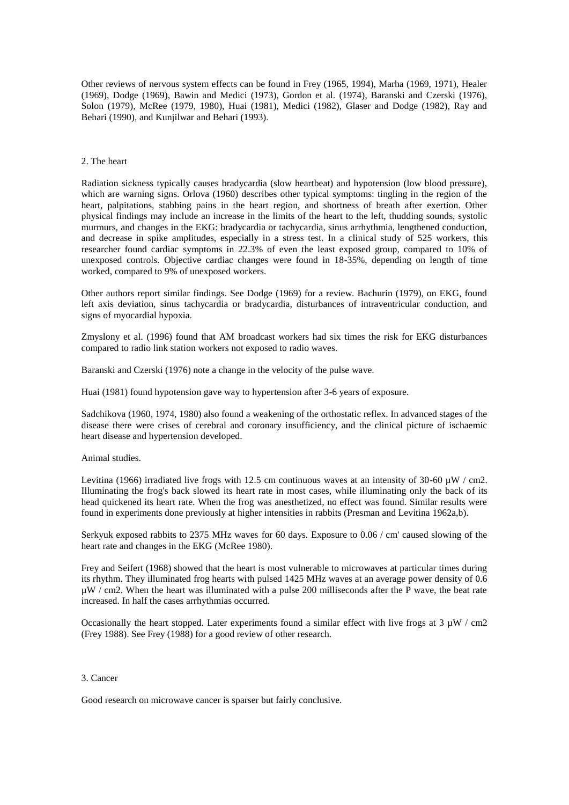Other reviews of nervous system effects can be found in Frey (1965, 1994), Marha (1969, 1971), Healer (1969), Dodge (1969), Bawin and Medici (1973), Gordon et al. (1974), Baranski and Czerski (1976), Solon (1979), McRee (1979, 1980), Huai (1981), Medici (1982), Glaser and Dodge (1982), Ray and Behari (1990), and Kunjilwar and Behari (1993).

# 2. The heart

Radiation sickness typically causes bradycardia (slow heartbeat) and hypotension (low blood pressure), which are warning signs. Orlova (1960) describes other typical symptoms: tingling in the region of the heart, palpitations, stabbing pains in the heart region, and shortness of breath after exertion. Other physical findings may include an increase in the limits of the heart to the left, thudding sounds, systolic murmurs, and changes in the EKG: bradycardia or tachycardia, sinus arrhythmia, lengthened conduction, and decrease in spike amplitudes, especially in a stress test. In a clinical study of 525 workers, this researcher found cardiac symptoms in 22.3% of even the least exposed group, compared to 10% of unexposed controls. Objective cardiac changes were found in 18-35%, depending on length of time worked, compared to 9% of unexposed workers.

Other authors report similar findings. See Dodge (1969) for a review. Bachurin (1979), on EKG, found left axis deviation, sinus tachycardia or bradycardia, disturbances of intraventricular conduction, and signs of myocardial hypoxia.

Zmyslony et al. (1996) found that AM broadcast workers had six times the risk for EKG disturbances compared to radio link station workers not exposed to radio waves.

Baranski and Czerski (1976) note a change in the velocity of the pulse wave.

Huai (1981) found hypotension gave way to hypertension after 3-6 years of exposure.

Sadchikova (1960, 1974, 1980) also found a weakening of the orthostatic reflex. In advanced stages of the disease there were crises of cerebral and coronary insufficiency, and the clinical picture of ischaemic heart disease and hypertension developed.

# Animal studies.

Levitina (1966) irradiated live frogs with 12.5 cm continuous waves at an intensity of 30-60  $\mu$ W / cm2. Illuminating the frog's back slowed its heart rate in most cases, while illuminating only the back of its head quickened its heart rate. When the frog was anesthetized, no effect was found. Similar results were found in experiments done previously at higher intensities in rabbits (Presman and Levitina 1962a,b).

Serkyuk exposed rabbits to 2375 MHz waves for 60 days. Exposure to 0.06 / cm' caused slowing of the heart rate and changes in the EKG (McRee 1980).

Frey and Seifert (1968) showed that the heart is most vulnerable to microwaves at particular times during its rhythm. They illuminated frog hearts with pulsed 1425 MHz waves at an average power density of 0.6  $\mu$ W / cm2. When the heart was illuminated with a pulse 200 milliseconds after the P wave, the beat rate increased. In half the cases arrhythmias occurred.

Occasionally the heart stopped. Later experiments found a similar effect with live frogs at  $3 \mu W$  / cm2 (Frey 1988). See Frey (1988) for a good review of other research.

# 3. Cancer

Good research on microwave cancer is sparser but fairly conclusive.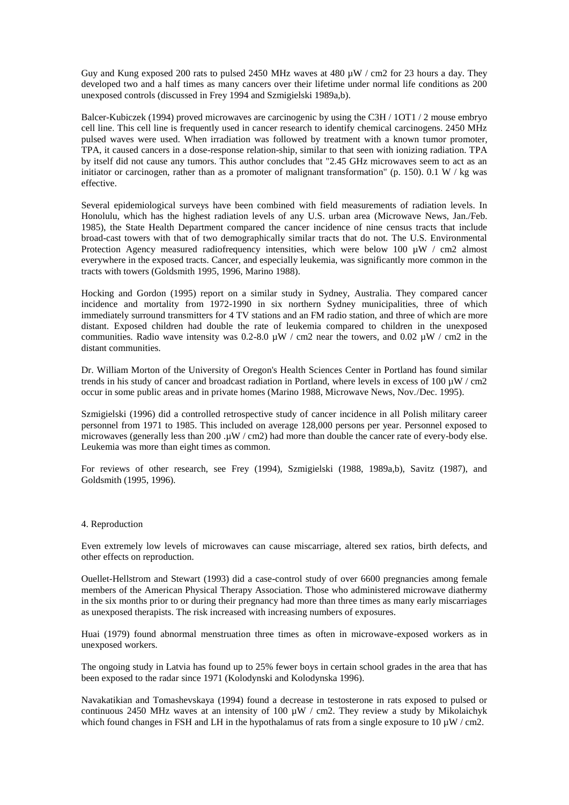Guy and Kung exposed 200 rats to pulsed 2450 MHz waves at 480 uW / cm2 for 23 hours a day. They developed two and a half times as many cancers over their lifetime under normal life conditions as 200 unexposed controls (discussed in Frey 1994 and Szmigielski 1989a,b).

Balcer-Kubiczek (1994) proved microwaves are carcinogenic by using the C3H / 1OT1 / 2 mouse embryo cell line. This cell line is frequently used in cancer research to identify chemical carcinogens. 2450 MHz pulsed waves were used. When irradiation was followed by treatment with a known tumor promoter, TPA, it caused cancers in a dose-response relation-ship, similar to that seen with ionizing radiation. TPA by itself did not cause any tumors. This author concludes that "2.45 GHz microwaves seem to act as an initiator or carcinogen, rather than as a promoter of malignant transformation" (p. 150). 0.1 W / kg was effective.

Several epidemiological surveys have been combined with field measurements of radiation levels. In Honolulu, which has the highest radiation levels of any U.S. urban area (Microwave News, Jan./Feb. 1985), the State Health Department compared the cancer incidence of nine census tracts that include broad-cast towers with that of two demographically similar tracts that do not. The U.S. Environmental Protection Agency measured radiofrequency intensities, which were below 100  $\mu$ W / cm2 almost everywhere in the exposed tracts. Cancer, and especially leukemia, was significantly more common in the tracts with towers (Goldsmith 1995, 1996, Marino 1988).

Hocking and Gordon (1995) report on a similar study in Sydney, Australia. They compared cancer incidence and mortality from 1972-1990 in six northern Sydney municipalities, three of which immediately surround transmitters for 4 TV stations and an FM radio station, and three of which are more distant. Exposed children had double the rate of leukemia compared to children in the unexposed communities. Radio wave intensity was 0.2-8.0  $\mu$ W / cm2 near the towers, and 0.02  $\mu$ W / cm2 in the distant communities.

Dr. William Morton of the University of Oregon's Health Sciences Center in Portland has found similar trends in his study of cancer and broadcast radiation in Portland, where levels in excess of 100  $\mu$ W / cm2 occur in some public areas and in private homes (Marino 1988, Microwave News, Nov./Dec. 1995).

Szmigielski (1996) did a controlled retrospective study of cancer incidence in all Polish military career personnel from 1971 to 1985. This included on average 128,000 persons per year. Personnel exposed to microwaves (generally less than 200 .µW / cm2) had more than double the cancer rate of every-body else. Leukemia was more than eight times as common.

For reviews of other research, see Frey (1994), Szmigielski (1988, 1989a,b), Savitz (1987), and Goldsmith (1995, 1996).

# 4. Reproduction

Even extremely low levels of microwaves can cause miscarriage, altered sex ratios, birth defects, and other effects on reproduction.

Ouellet-Hellstrom and Stewart (1993) did a case-control study of over 6600 pregnancies among female members of the American Physical Therapy Association. Those who administered microwave diathermy in the six months prior to or during their pregnancy had more than three times as many early miscarriages as unexposed therapists. The risk increased with increasing numbers of exposures.

Huai (1979) found abnormal menstruation three times as often in microwave-exposed workers as in unexposed workers.

The ongoing study in Latvia has found up to 25% fewer boys in certain school grades in the area that has been exposed to the radar since 1971 (Kolodynski and Kolodynska 1996).

Navakatikian and Tomashevskaya (1994) found a decrease in testosterone in rats exposed to pulsed or continuous 2450 MHz waves at an intensity of 100  $\mu$ W / cm2. They review a study by Mikolaichyk which found changes in FSH and LH in the hypothalamus of rats from a single exposure to 10  $\mu$ W / cm2.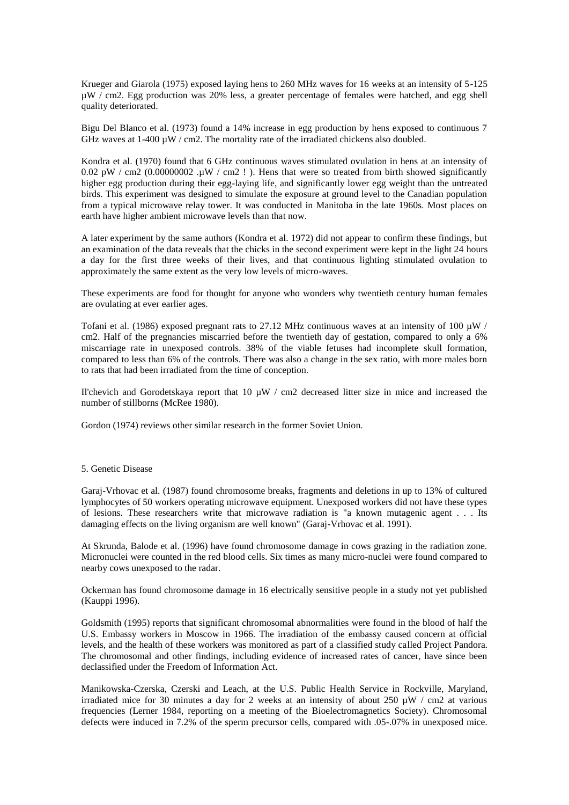Krueger and Giarola (1975) exposed laying hens to 260 MHz waves for 16 weeks at an intensity of 5-125  $\mu$ W / cm2. Egg production was 20% less, a greater percentage of females were hatched, and egg shell quality deteriorated.

Bigu Del Blanco et al. (1973) found a 14% increase in egg production by hens exposed to continuous 7 GHz waves at  $1-400 \mu W$  / cm2. The mortality rate of the irradiated chickens also doubled.

Kondra et al. (1970) found that 6 GHz continuous waves stimulated ovulation in hens at an intensity of 0.02 pW / cm2 (0.00000002  $\mu$ W / cm2 !). Hens that were so treated from birth showed significantly higher egg production during their egg-laying life, and significantly lower egg weight than the untreated birds. This experiment was designed to simulate the exposure at ground level to the Canadian population from a typical microwave relay tower. It was conducted in Manitoba in the late 1960s. Most places on earth have higher ambient microwave levels than that now.

A later experiment by the same authors (Kondra et al. 1972) did not appear to confirm these findings, but an examination of the data reveals that the chicks in the second experiment were kept in the light 24 hours a day for the first three weeks of their lives, and that continuous lighting stimulated ovulation to approximately the same extent as the very low levels of micro-waves.

These experiments are food for thought for anyone who wonders why twentieth century human females are ovulating at ever earlier ages.

Tofani et al. (1986) exposed pregnant rats to 27.12 MHz continuous waves at an intensity of 100  $\mu$ W / cm2. Half of the pregnancies miscarried before the twentieth day of gestation, compared to only a 6% miscarriage rate in unexposed controls. 38% of the viable fetuses had incomplete skull formation, compared to less than 6% of the controls. There was also a change in the sex ratio, with more males born to rats that had been irradiated from the time of conception.

Il'chevich and Gorodetskaya report that  $10 \mu W$  / cm2 decreased litter size in mice and increased the number of stillborns (McRee 1980).

Gordon (1974) reviews other similar research in the former Soviet Union.

### 5. Genetic Disease

Garaj-Vrhovac et al. (1987) found chromosome breaks, fragments and deletions in up to 13% of cultured lymphocytes of 50 workers operating microwave equipment. Unexposed workers did not have these types of lesions. These researchers write that microwave radiation is "a known mutagenic agent . . . Its damaging effects on the living organism are well known" (Garaj-Vrhovac et al. 1991).

At Skrunda, Balode et al. (1996) have found chromosome damage in cows grazing in the radiation zone. Micronuclei were counted in the red blood cells. Six times as many micro-nuclei were found compared to nearby cows unexposed to the radar.

Ockerman has found chromosome damage in 16 electrically sensitive people in a study not yet published (Kauppi 1996).

Goldsmith (1995) reports that significant chromosomal abnormalities were found in the blood of half the U.S. Embassy workers in Moscow in 1966. The irradiation of the embassy caused concern at official levels, and the health of these workers was monitored as part of a classified study called Project Pandora. The chromosomal and other findings, including evidence of increased rates of cancer, have since been declassified under the Freedom of Information Act.

Manikowska-Czerska, Czerski and Leach, at the U.S. Public Health Service in Rockville, Maryland, irradiated mice for 30 minutes a day for 2 weeks at an intensity of about 250  $\mu$ W / cm2 at various frequencies (Lerner 1984, reporting on a meeting of the Bioelectromagnetics Society). Chromosomal defects were induced in 7.2% of the sperm precursor cells, compared with .05-.07% in unexposed mice.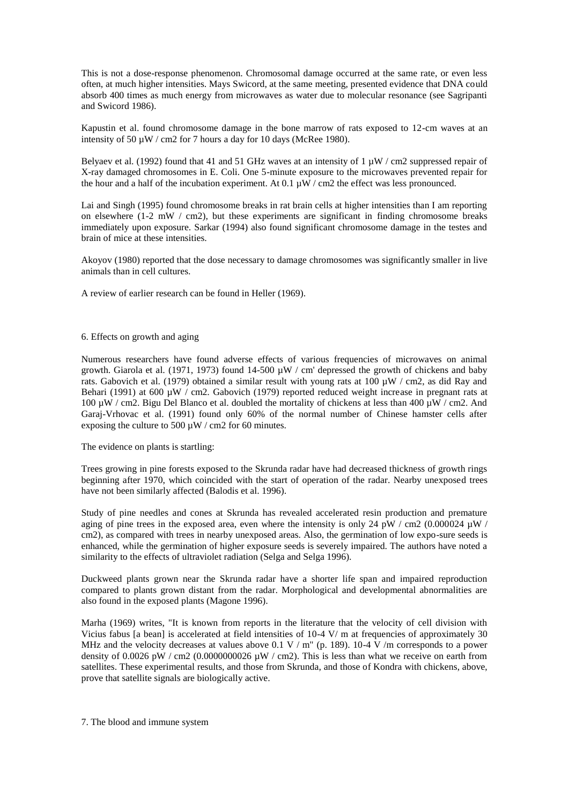This is not a dose-response phenomenon. Chromosomal damage occurred at the same rate, or even less often, at much higher intensities. Mays Swicord, at the same meeting, presented evidence that DNA could absorb 400 times as much energy from microwaves as water due to molecular resonance (see Sagripanti and Swicord 1986).

Kapustin et al. found chromosome damage in the bone marrow of rats exposed to 12-cm waves at an intensity of 50 µW / cm2 for 7 hours a day for 10 days (McRee 1980).

Belyaev et al. (1992) found that 41 and 51 GHz waves at an intensity of  $1 \mu W$  / cm2 suppressed repair of X-ray damaged chromosomes in E. Coli. One 5-minute exposure to the microwaves prevented repair for the hour and a half of the incubation experiment. At 0.1  $\mu$ W / cm2 the effect was less pronounced.

Lai and Singh (1995) found chromosome breaks in rat brain cells at higher intensities than I am reporting on elsewhere (1-2 mW / cm2), but these experiments are significant in finding chromosome breaks immediately upon exposure. Sarkar (1994) also found significant chromosome damage in the testes and brain of mice at these intensities.

Akoyov (1980) reported that the dose necessary to damage chromosomes was significantly smaller in live animals than in cell cultures.

A review of earlier research can be found in Heller (1969).

# 6. Effects on growth and aging

Numerous researchers have found adverse effects of various frequencies of microwaves on animal growth. Giarola et al. (1971, 1973) found  $14-500 \mu W$  / cm' depressed the growth of chickens and baby rats. Gabovich et al. (1979) obtained a similar result with young rats at 100 µW / cm2, as did Ray and Behari (1991) at 600 µW / cm2. Gabovich (1979) reported reduced weight increase in pregnant rats at 100  $\mu$ W / cm2. Bigu Del Blanco et al. doubled the mortality of chickens at less than 400  $\mu$ W / cm2. And Garaj-Vrhovac et al. (1991) found only 60% of the normal number of Chinese hamster cells after exposing the culture to 500  $\mu$ W / cm2 for 60 minutes.

The evidence on plants is startling:

Trees growing in pine forests exposed to the Skrunda radar have had decreased thickness of growth rings beginning after 1970, which coincided with the start of operation of the radar. Nearby unexposed trees have not been similarly affected (Balodis et al. 1996).

Study of pine needles and cones at Skrunda has revealed accelerated resin production and premature aging of pine trees in the exposed area, even where the intensity is only 24 pW / cm2 (0.000024  $\mu$ W / cm2), as compared with trees in nearby unexposed areas. Also, the germination of low expo-sure seeds is enhanced, while the germination of higher exposure seeds is severely impaired. The authors have noted a similarity to the effects of ultraviolet radiation (Selga and Selga 1996).

Duckweed plants grown near the Skrunda radar have a shorter life span and impaired reproduction compared to plants grown distant from the radar. Morphological and developmental abnormalities are also found in the exposed plants (Magone 1996).

Marha (1969) writes, "It is known from reports in the literature that the velocity of cell division with Vicius fabus [a bean] is accelerated at field intensities of 10-4 V/ m at frequencies of approximately 30 MHz and the velocity decreases at values above 0.1 V / m" (p. 189). 10-4 V /m corresponds to a power density of 0.0026 pW / cm2 (0.0000000026  $\mu$ W / cm2). This is less than what we receive on earth from satellites. These experimental results, and those from Skrunda, and those of Kondra with chickens, above, prove that satellite signals are biologically active.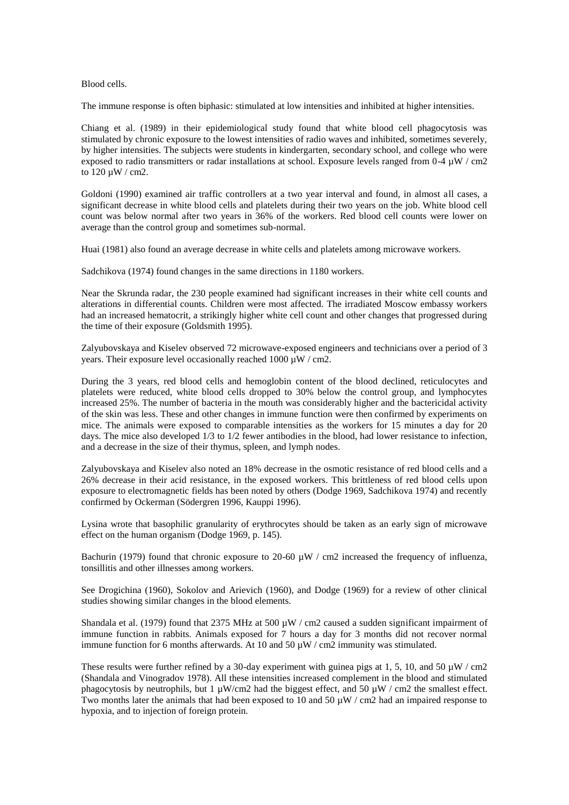Blood cells.

The immune response is often biphasic: stimulated at low intensities and inhibited at higher intensities.

Chiang et al. (1989) in their epidemiological study found that white blood cell phagocytosis was stimulated by chronic exposure to the lowest intensities of radio waves and inhibited, sometimes severely, by higher intensities. The subjects were students in kindergarten, secondary school, and college who were exposed to radio transmitters or radar installations at school. Exposure levels ranged from 0-4  $\mu$ W / cm2 to 120 µW / cm2.

Goldoni (1990) examined air traffic controllers at a two year interval and found, in almost all cases, a significant decrease in white blood cells and platelets during their two years on the job. White blood cell count was below normal after two years in 36% of the workers. Red blood cell counts were lower on average than the control group and sometimes sub-normal.

Huai (1981) also found an average decrease in white cells and platelets among microwave workers.

Sadchikova (1974) found changes in the same directions in 1180 workers.

Near the Skrunda radar, the 230 people examined had significant increases in their white cell counts and alterations in differential counts. Children were most affected. The irradiated Moscow embassy workers had an increased hematocrit, a strikingly higher white cell count and other changes that progressed during the time of their exposure (Goldsmith 1995).

Zalyubovskaya and Kiselev observed 72 microwave-exposed engineers and technicians over a period of 3 years. Their exposure level occasionally reached 1000 µW / cm2.

During the 3 years, red blood cells and hemoglobin content of the blood declined, reticulocytes and platelets were reduced, white blood cells dropped to 30% below the control group, and lymphocytes increased 25%. The number of bacteria in the mouth was considerably higher and the bactericidal activity of the skin was less. These and other changes in immune function were then confirmed by experiments on mice. The animals were exposed to comparable intensities as the workers for 15 minutes a day for 20 days. The mice also developed 1/3 to 1/2 fewer antibodies in the blood, had lower resistance to infection, and a decrease in the size of their thymus, spleen, and lymph nodes.

Zalyubovskaya and Kiselev also noted an 18% decrease in the osmotic resistance of red blood cells and a 26% decrease in their acid resistance, in the exposed workers. This brittleness of red blood cells upon exposure to electromagnetic fields has been noted by others (Dodge 1969, Sadchikova 1974) and recently confirmed by Ockerman (Södergren 1996, Kauppi 1996).

Lysina wrote that basophilic granularity of erythrocytes should be taken as an early sign of microwave effect on the human organism (Dodge 1969, p. 145).

Bachurin (1979) found that chronic exposure to 20-60  $\mu$ W / cm2 increased the frequency of influenza, tonsillitis and other illnesses among workers.

See Drogichina (1960), Sokolov and Arievich (1960), and Dodge (1969) for a review of other clinical studies showing similar changes in the blood elements.

Shandala et al. (1979) found that 2375 MHz at 500  $\mu$ W / cm2 caused a sudden significant impairment of immune function in rabbits. Animals exposed for 7 hours a day for 3 months did not recover normal immune function for 6 months afterwards. At 10 and 50  $\mu$ W / cm2 immunity was stimulated.

These results were further refined by a 30-day experiment with guinea pigs at 1, 5, 10, and 50  $\mu$ W / cm2 (Shandala and Vinogradov 1978). All these intensities increased complement in the blood and stimulated phagocytosis by neutrophils, but 1  $\mu$ W/cm2 had the biggest effect, and 50  $\mu$ W / cm2 the smallest effect. Two months later the animals that had been exposed to 10 and 50 µW / cm2 had an impaired response to hypoxia, and to injection of foreign protein.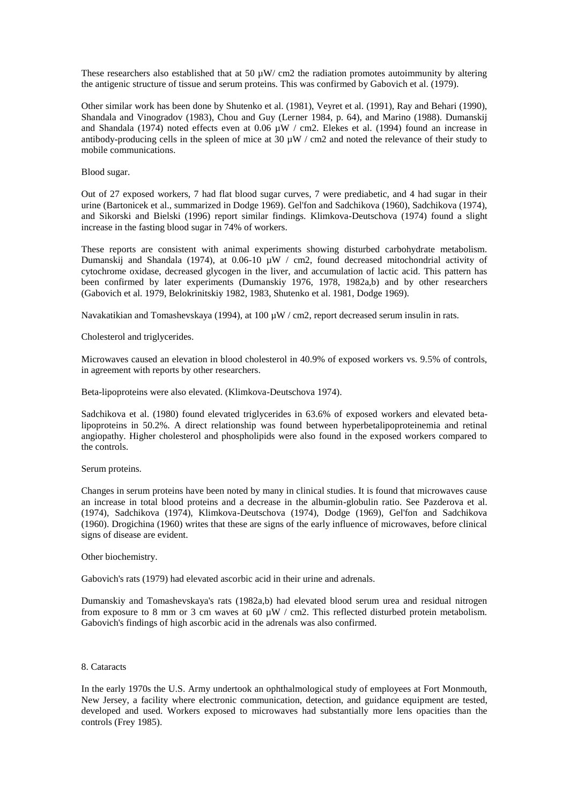These researchers also established that at 50  $\mu$ W/ cm2 the radiation promotes autoimmunity by altering the antigenic structure of tissue and serum proteins. This was confirmed by Gabovich et al. (1979).

Other similar work has been done by Shutenko et al. (1981), Veyret et al. (1991), Ray and Behari (1990), Shandala and Vinogradov (1983), Chou and Guy (Lerner 1984, p. 64), and Marino (1988). Dumanskij and Shandala (1974) noted effects even at 0.06  $\mu$ W / cm2. Elekes et al. (1994) found an increase in antibody-producing cells in the spleen of mice at 30  $\mu$ W / cm2 and noted the relevance of their study to mobile communications.

# Blood sugar.

Out of 27 exposed workers, 7 had flat blood sugar curves, 7 were prediabetic, and 4 had sugar in their urine (Bartonicek et al., summarized in Dodge 1969). Gel'fon and Sadchikova (1960), Sadchikova (1974), and Sikorski and Bielski (1996) report similar findings. Klimkova-Deutschova (1974) found a slight increase in the fasting blood sugar in 74% of workers.

These reports are consistent with animal experiments showing disturbed carbohydrate metabolism. Dumanskij and Shandala (1974), at  $0.06-10$  uW / cm2, found decreased mitochondrial activity of cytochrome oxidase, decreased glycogen in the liver, and accumulation of lactic acid. This pattern has been confirmed by later experiments (Dumanskiy 1976, 1978, 1982a,b) and by other researchers (Gabovich et al. 1979, Belokrinitskiy 1982, 1983, Shutenko et al. 1981, Dodge 1969).

Navakatikian and Tomashevskaya (1994), at 100  $\mu$ W / cm2, report decreased serum insulin in rats.

# Cholesterol and triglycerides.

Microwaves caused an elevation in blood cholesterol in 40.9% of exposed workers vs. 9.5% of controls, in agreement with reports by other researchers.

Beta-lipoproteins were also elevated. (Klimkova-Deutschova 1974).

Sadchikova et al. (1980) found elevated triglycerides in 63.6% of exposed workers and elevated betalipoproteins in 50.2%. A direct relationship was found between hyperbetalipoproteinemia and retinal angiopathy. Higher cholesterol and phospholipids were also found in the exposed workers compared to the controls.

# Serum proteins.

Changes in serum proteins have been noted by many in clinical studies. It is found that microwaves cause an increase in total blood proteins and a decrease in the albumin-globulin ratio. See Pazderova et al. (1974), Sadchikova (1974), Klimkova-Deutschova (1974), Dodge (1969), Gel'fon and Sadchikova (1960). Drogichina (1960) writes that these are signs of the early influence of microwaves, before clinical signs of disease are evident.

# Other biochemistry.

Gabovich's rats (1979) had elevated ascorbic acid in their urine and adrenals.

Dumanskiy and Tomashevskaya's rats (1982a,b) had elevated blood serum urea and residual nitrogen from exposure to 8 mm or 3 cm waves at 60  $\mu$ W / cm2. This reflected disturbed protein metabolism. Gabovich's findings of high ascorbic acid in the adrenals was also confirmed.

# 8. Cataracts

In the early 1970s the U.S. Army undertook an ophthalmological study of employees at Fort Monmouth, New Jersey, a facility where electronic communication, detection, and guidance equipment are tested, developed and used. Workers exposed to microwaves had substantially more lens opacities than the controls (Frey 1985).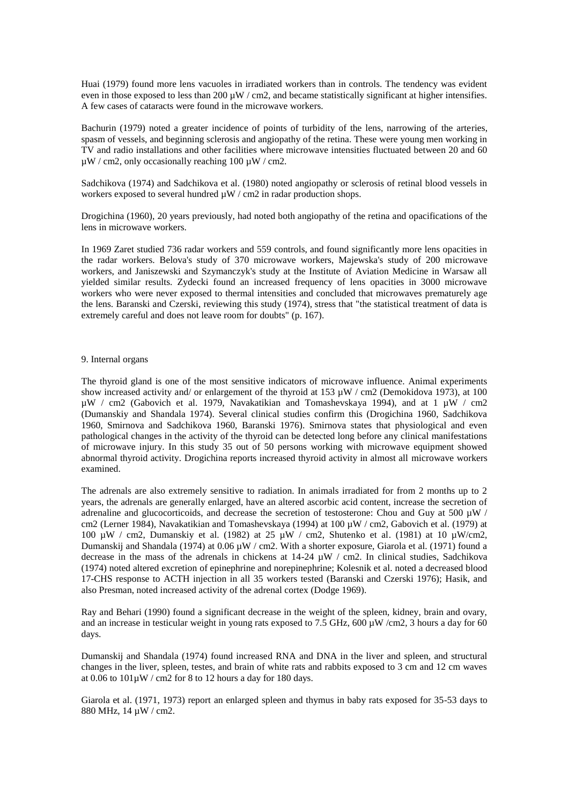Huai (1979) found more lens vacuoles in irradiated workers than in controls. The tendency was evident even in those exposed to less than 200  $\mu$ W / cm2, and became statistically significant at higher intensifies. A few cases of cataracts were found in the microwave workers.

Bachurin (1979) noted a greater incidence of points of turbidity of the lens, narrowing of the arteries, spasm of vessels, and beginning sclerosis and angiopathy of the retina. These were young men working in TV and radio installations and other facilities where microwave intensities fluctuated between 20 and 60  $\mu$ W / cm2, only occasionally reaching 100  $\mu$ W / cm2.

Sadchikova (1974) and Sadchikova et al. (1980) noted angiopathy or sclerosis of retinal blood vessels in workers exposed to several hundred  $\mu$ W / cm2 in radar production shops.

Drogichina (1960), 20 years previously, had noted both angiopathy of the retina and opacifications of the lens in microwave workers.

In 1969 Zaret studied 736 radar workers and 559 controls, and found significantly more lens opacities in the radar workers. Belova's study of 370 microwave workers, Majewska's study of 200 microwave workers, and Janiszewski and Szymanczyk's study at the Institute of Aviation Medicine in Warsaw all yielded similar results. Zydecki found an increased frequency of lens opacities in 3000 microwave workers who were never exposed to thermal intensities and concluded that microwaves prematurely age the lens. Baranski and Czerski, reviewing this study (1974), stress that "the statistical treatment of data is extremely careful and does not leave room for doubts" (p. 167).

#### 9. Internal organs

The thyroid gland is one of the most sensitive indicators of microwave influence. Animal experiments show increased activity and/ or enlargement of the thyroid at 153  $\mu$ W / cm2 (Demokidova 1973), at 100  $\mu$ W / cm2 (Gabovich et al. 1979, Navakatikian and Tomashevskaya 1994), and at 1  $\mu$ W / cm2 (Dumanskiy and Shandala 1974). Several clinical studies confirm this (Drogichina 1960, Sadchikova 1960, Smirnova and Sadchikova 1960, Baranski 1976). Smirnova states that physiological and even pathological changes in the activity of the thyroid can be detected long before any clinical manifestations of microwave injury. In this study 35 out of 50 persons working with microwave equipment showed abnormal thyroid activity. Drogichina reports increased thyroid activity in almost all microwave workers examined.

The adrenals are also extremely sensitive to radiation. In animals irradiated for from 2 months up to 2 years, the adrenals are generally enlarged, have an altered ascorbic acid content, increase the secretion of adrenaline and glucocorticoids, and decrease the secretion of testosterone: Chou and Guy at 500  $\mu$ W / cm2 (Lerner 1984), Navakatikian and Tomashevskaya (1994) at 100 µW / cm2, Gabovich et al. (1979) at 100  $\mu$ W / cm2, Dumanskiy et al. (1982) at 25  $\mu$ W / cm2, Shutenko et al. (1981) at 10  $\mu$ W/cm2, Dumanskij and Shandala (1974) at 0.06 µW / cm2. With a shorter exposure, Giarola et al. (1971) found a decrease in the mass of the adrenals in chickens at 14-24 µW / cm2. In clinical studies, Sadchikova (1974) noted altered excretion of epinephrine and norepinephrine; Kolesnik et al. noted a decreased blood 17-CHS response to ACTH injection in all 35 workers tested (Baranski and Czerski 1976); Hasik, and also Presman, noted increased activity of the adrenal cortex (Dodge 1969).

Ray and Behari (1990) found a significant decrease in the weight of the spleen, kidney, brain and ovary, and an increase in testicular weight in young rats exposed to 7.5 GHz, 600  $\mu$ W /cm2, 3 hours a day for 60 days.

Dumanskij and Shandala (1974) found increased RNA and DNA in the liver and spleen, and structural changes in the liver, spleen, testes, and brain of white rats and rabbits exposed to 3 cm and 12 cm waves at  $0.06$  to  $101\mu$ W / cm<sup>2</sup> for 8 to 12 hours a day for 180 days.

Giarola et al. (1971, 1973) report an enlarged spleen and thymus in baby rats exposed for 35-53 days to 880 MHz, 14 µW / cm2.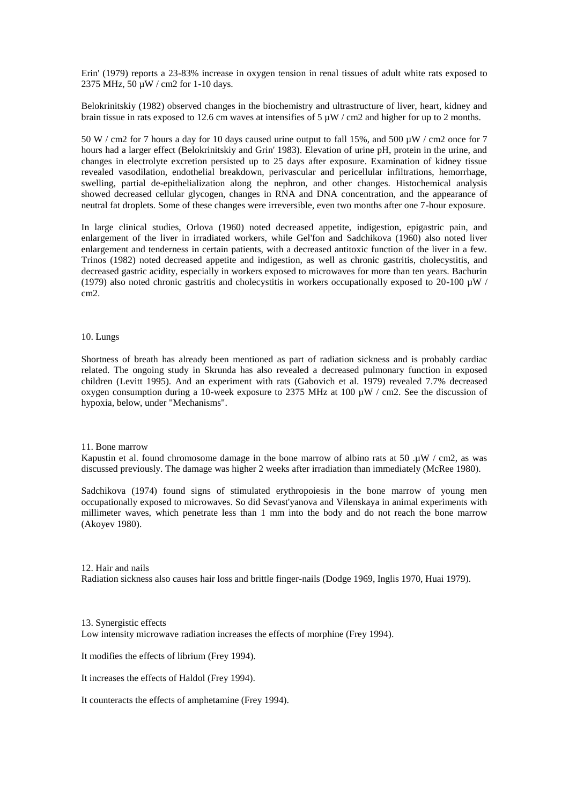Erin' (1979) reports a 23-83% increase in oxygen tension in renal tissues of adult white rats exposed to 2375 MHz, 50  $\mu$ W / cm2 for 1-10 days.

Belokrinitskiy (1982) observed changes in the biochemistry and ultrastructure of liver, heart, kidney and brain tissue in rats exposed to 12.6 cm waves at intensifies of 5  $\mu$ W / cm2 and higher for up to 2 months.

50 W / cm2 for 7 hours a day for 10 days caused urine output to fall 15%, and 500 µW / cm2 once for 7 hours had a larger effect (Belokrinitskiy and Grin' 1983). Elevation of urine pH, protein in the urine, and changes in electrolyte excretion persisted up to 25 days after exposure. Examination of kidney tissue revealed vasodilation, endothelial breakdown, perivascular and pericellular infiltrations, hemorrhage, swelling, partial de-epithelialization along the nephron, and other changes. Histochemical analysis showed decreased cellular glycogen, changes in RNA and DNA concentration, and the appearance of neutral fat droplets. Some of these changes were irreversible, even two months after one 7-hour exposure.

In large clinical studies, Orlova (1960) noted decreased appetite, indigestion, epigastric pain, and enlargement of the liver in irradiated workers, while Gel'fon and Sadchikova (1960) also noted liver enlargement and tenderness in certain patients, with a decreased antitoxic function of the liver in a few. Trinos (1982) noted decreased appetite and indigestion, as well as chronic gastritis, cholecystitis, and decreased gastric acidity, especially in workers exposed to microwaves for more than ten years. Bachurin (1979) also noted chronic gastritis and cholecystitis in workers occupationally exposed to 20-100  $\mu$ W / cm2.

#### 10. Lungs

Shortness of breath has already been mentioned as part of radiation sickness and is probably cardiac related. The ongoing study in Skrunda has also revealed a decreased pulmonary function in exposed children (Levitt 1995). And an experiment with rats (Gabovich et al. 1979) revealed 7.7% decreased oxygen consumption during a 10-week exposure to 2375 MHz at 100  $\mu$ W / cm2. See the discussion of hypoxia, below, under "Mechanisms".

# 11. Bone marrow

Kapustin et al. found chromosome damage in the bone marrow of albino rats at 50 .uW / cm2, as was discussed previously. The damage was higher 2 weeks after irradiation than immediately (McRee 1980).

Sadchikova (1974) found signs of stimulated erythropoiesis in the bone marrow of young men occupationally exposed to microwaves. So did Sevast'yanova and Vilenskaya in animal experiments with millimeter waves, which penetrate less than 1 mm into the body and do not reach the bone marrow (Akoyev 1980).

12. Hair and nails Radiation sickness also causes hair loss and brittle finger-nails (Dodge 1969, Inglis 1970, Huai 1979).

13. Synergistic effects Low intensity microwave radiation increases the effects of morphine (Frey 1994).

It modifies the effects of librium (Frey 1994).

It increases the effects of Haldol (Frey 1994).

It counteracts the effects of amphetamine (Frey 1994).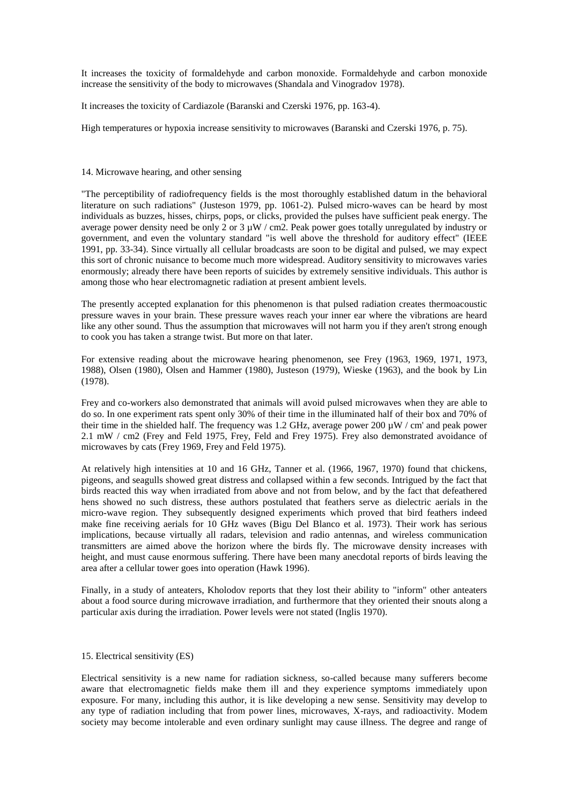It increases the toxicity of formaldehyde and carbon monoxide. Formaldehyde and carbon monoxide increase the sensitivity of the body to microwaves (Shandala and Vinogradov 1978).

It increases the toxicity of Cardiazole (Baranski and Czerski 1976, pp. 163-4).

High temperatures or hypoxia increase sensitivity to microwaves (Baranski and Czerski 1976, p. 75).

# 14. Microwave hearing, and other sensing

"The perceptibility of radiofrequency fields is the most thoroughly established datum in the behavioral literature on such radiations" (Justeson 1979, pp. 1061-2). Pulsed micro-waves can be heard by most individuals as buzzes, hisses, chirps, pops, or clicks, provided the pulses have sufficient peak energy. The average power density need be only 2 or 3  $\mu$ W / cm2. Peak power goes totally unregulated by industry or government, and even the voluntary standard "is well above the threshold for auditory effect" (IEEE 1991, pp. 33-34). Since virtually all cellular broadcasts are soon to be digital and pulsed, we may expect this sort of chronic nuisance to become much more widespread. Auditory sensitivity to microwaves varies enormously; already there have been reports of suicides by extremely sensitive individuals. This author is among those who hear electromagnetic radiation at present ambient levels.

The presently accepted explanation for this phenomenon is that pulsed radiation creates thermoacoustic pressure waves in your brain. These pressure waves reach your inner ear where the vibrations are heard like any other sound. Thus the assumption that microwaves will not harm you if they aren't strong enough to cook you has taken a strange twist. But more on that later.

For extensive reading about the microwave hearing phenomenon, see Frey (1963, 1969, 1971, 1973, 1988), Olsen (1980), Olsen and Hammer (1980), Justeson (1979), Wieske (1963), and the book by Lin (1978).

Frey and co-workers also demonstrated that animals will avoid pulsed microwaves when they are able to do so. In one experiment rats spent only 30% of their time in the illuminated half of their box and 70% of their time in the shielded half. The frequency was 1.2 GHz, average power 200 µW / cm' and peak power 2.1 mW / cm2 (Frey and Feld 1975, Frey, Feld and Frey 1975). Frey also demonstrated avoidance of microwaves by cats (Frey 1969, Frey and Feld 1975).

At relatively high intensities at 10 and 16 GHz, Tanner et al. (1966, 1967, 1970) found that chickens, pigeons, and seagulls showed great distress and collapsed within a few seconds. Intrigued by the fact that birds reacted this way when irradiated from above and not from below, and by the fact that defeathered hens showed no such distress, these authors postulated that feathers serve as dielectric aerials in the micro-wave region. They subsequently designed experiments which proved that bird feathers indeed make fine receiving aerials for 10 GHz waves (Bigu Del Blanco et al. 1973). Their work has serious implications, because virtually all radars, television and radio antennas, and wireless communication transmitters are aimed above the horizon where the birds fly. The microwave density increases with height, and must cause enormous suffering. There have been many anecdotal reports of birds leaving the area after a cellular tower goes into operation (Hawk 1996).

Finally, in a study of anteaters, Kholodov reports that they lost their ability to "inform" other anteaters about a food source during microwave irradiation, and furthermore that they oriented their snouts along a particular axis during the irradiation. Power levels were not stated (Inglis 1970).

# 15. Electrical sensitivity (ES)

Electrical sensitivity is a new name for radiation sickness, so-called because many sufferers become aware that electromagnetic fields make them ill and they experience symptoms immediately upon exposure. For many, including this author, it is like developing a new sense. Sensitivity may develop to any type of radiation including that from power lines, microwaves, X-rays, and radioactivity. Modem society may become intolerable and even ordinary sunlight may cause illness. The degree and range of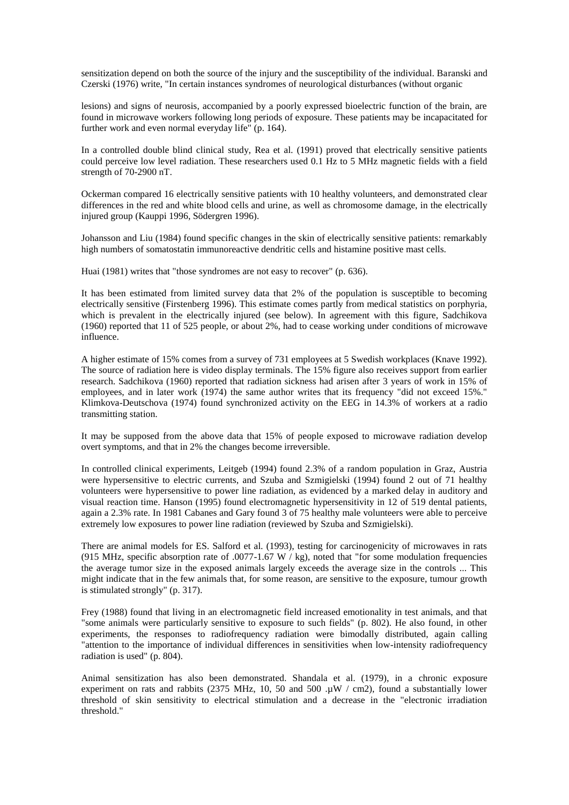sensitization depend on both the source of the injury and the susceptibility of the individual. Baranski and Czerski (1976) write, "In certain instances syndromes of neurological disturbances (without organic

lesions) and signs of neurosis, accompanied by a poorly expressed bioelectric function of the brain, are found in microwave workers following long periods of exposure. These patients may be incapacitated for further work and even normal everyday life" (p. 164).

In a controlled double blind clinical study, Rea et al. (1991) proved that electrically sensitive patients could perceive low level radiation. These researchers used 0.1 Hz to 5 MHz magnetic fields with a field strength of 70-2900 nT.

Ockerman compared 16 electrically sensitive patients with 10 healthy volunteers, and demonstrated clear differences in the red and white blood cells and urine, as well as chromosome damage, in the electrically injured group (Kauppi 1996, Södergren 1996).

Johansson and Liu (1984) found specific changes in the skin of electrically sensitive patients: remarkably high numbers of somatostatin immunoreactive dendritic cells and histamine positive mast cells.

Huai (1981) writes that "those syndromes are not easy to recover" (p. 636).

It has been estimated from limited survey data that 2% of the population is susceptible to becoming electrically sensitive (Firstenberg 1996). This estimate comes partly from medical statistics on porphyria, which is prevalent in the electrically injured (see below). In agreement with this figure, Sadchikova (1960) reported that 11 of 525 people, or about 2%, had to cease working under conditions of microwave influence.

A higher estimate of 15% comes from a survey of 731 employees at 5 Swedish workplaces (Knave 1992). The source of radiation here is video display terminals. The 15% figure also receives support from earlier research. Sadchikova (1960) reported that radiation sickness had arisen after 3 years of work in 15% of employees, and in later work (1974) the same author writes that its frequency "did not exceed 15%." Klimkova-Deutschova (1974) found synchronized activity on the EEG in 14.3% of workers at a radio transmitting station.

It may be supposed from the above data that 15% of people exposed to microwave radiation develop overt symptoms, and that in 2% the changes become irreversible.

In controlled clinical experiments, Leitgeb (1994) found 2.3% of a random population in Graz, Austria were hypersensitive to electric currents, and Szuba and Szmigielski (1994) found 2 out of 71 healthy volunteers were hypersensitive to power line radiation, as evidenced by a marked delay in auditory and visual reaction time. Hanson (1995) found electromagnetic hypersensitivity in 12 of 519 dental patients, again a 2.3% rate. In 1981 Cabanes and Gary found 3 of 75 healthy male volunteers were able to perceive extremely low exposures to power line radiation (reviewed by Szuba and Szmigielski).

There are animal models for ES. Salford et al. (1993), testing for carcinogenicity of microwaves in rats (915 MHz, specific absorption rate of .0077-1.67 W / kg), noted that "for some modulation frequencies the average tumor size in the exposed animals largely exceeds the average size in the controls ... This might indicate that in the few animals that, for some reason, are sensitive to the exposure, tumour growth is stimulated strongly" (p. 317).

Frey (1988) found that living in an electromagnetic field increased emotionality in test animals, and that "some animals were particularly sensitive to exposure to such fields" (p. 802). He also found, in other experiments, the responses to radiofrequency radiation were bimodally distributed, again calling "attention to the importance of individual differences in sensitivities when low-intensity radiofrequency radiation is used" (p. 804).

Animal sensitization has also been demonstrated. Shandala et al. (1979), in a chronic exposure experiment on rats and rabbits (2375 MHz, 10, 50 and 500 .µW / cm2), found a substantially lower threshold of skin sensitivity to electrical stimulation and a decrease in the "electronic irradiation threshold."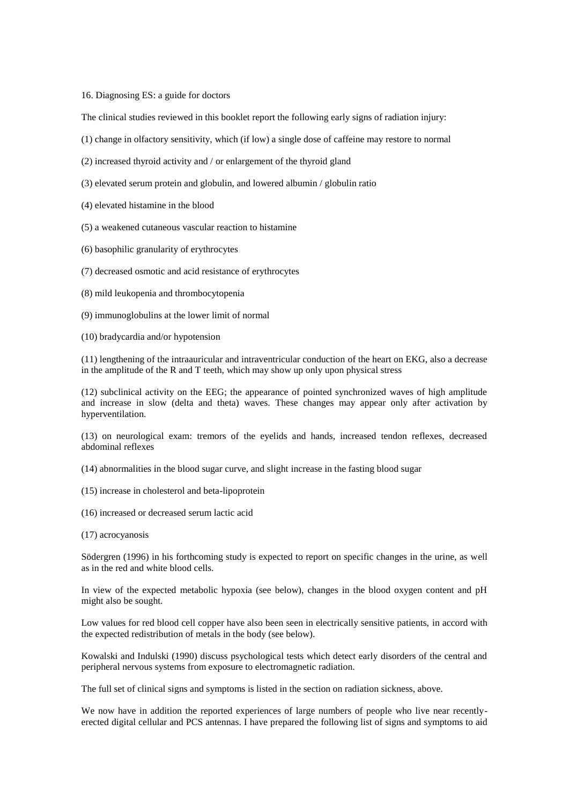16. Diagnosing ES: a guide for doctors

The clinical studies reviewed in this booklet report the following early signs of radiation injury:

- (1) change in olfactory sensitivity, which (if low) a single dose of caffeine may restore to normal
- (2) increased thyroid activity and / or enlargement of the thyroid gland
- (3) elevated serum protein and globulin, and lowered albumin / globulin ratio
- (4) elevated histamine in the blood
- (5) a weakened cutaneous vascular reaction to histamine
- (6) basophilic granularity of erythrocytes
- (7) decreased osmotic and acid resistance of erythrocytes
- (8) mild leukopenia and thrombocytopenia
- (9) immunoglobulins at the lower limit of normal
- (10) bradycardia and/or hypotension

(11) lengthening of the intraauricular and intraventricular conduction of the heart on EKG, also a decrease in the amplitude of the R and T teeth, which may show up only upon physical stress

(12) subclinical activity on the EEG; the appearance of pointed synchronized waves of high amplitude and increase in slow (delta and theta) waves. These changes may appear only after activation by hyperventilation.

(13) on neurological exam: tremors of the eyelids and hands, increased tendon reflexes, decreased abdominal reflexes

(14) abnormalities in the blood sugar curve, and slight increase in the fasting blood sugar

- (15) increase in cholesterol and beta-lipoprotein
- (16) increased or decreased serum lactic acid
- (17) acrocyanosis

Södergren (1996) in his forthcoming study is expected to report on specific changes in the urine, as well as in the red and white blood cells.

In view of the expected metabolic hypoxia (see below), changes in the blood oxygen content and pH might also be sought.

Low values for red blood cell copper have also been seen in electrically sensitive patients, in accord with the expected redistribution of metals in the body (see below).

Kowalski and Indulski (1990) discuss psychological tests which detect early disorders of the central and peripheral nervous systems from exposure to electromagnetic radiation.

The full set of clinical signs and symptoms is listed in the section on radiation sickness, above.

We now have in addition the reported experiences of large numbers of people who live near recentlyerected digital cellular and PCS antennas. I have prepared the following list of signs and symptoms to aid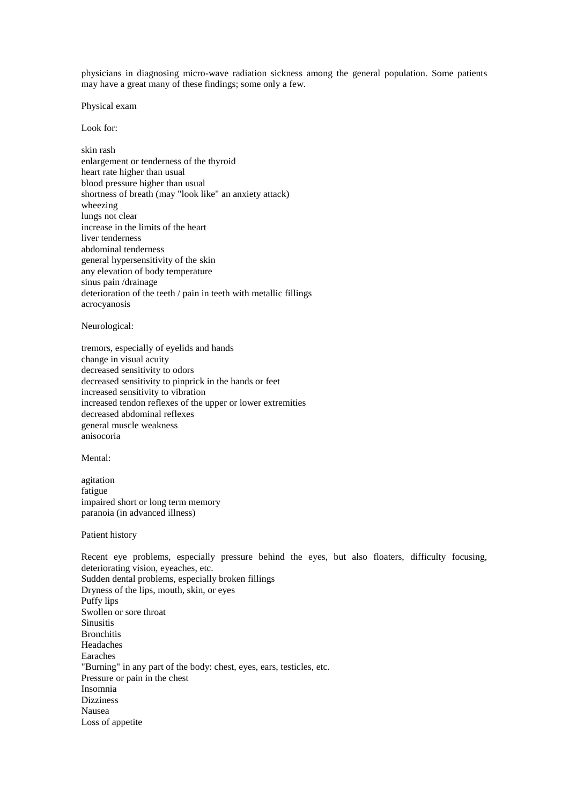physicians in diagnosing micro-wave radiation sickness among the general population. Some patients may have a great many of these findings; some only a few.

Physical exam

Look for:

skin rash enlargement or tenderness of the thyroid heart rate higher than usual blood pressure higher than usual shortness of breath (may "look like" an anxiety attack) wheezing lungs not clear increase in the limits of the heart liver tenderness abdominal tenderness general hypersensitivity of the skin any elevation of body temperature sinus pain /drainage deterioration of the teeth / pain in teeth with metallic fillings acrocyanosis

### Neurological:

tremors, especially of eyelids and hands change in visual acuity decreased sensitivity to odors decreased sensitivity to pinprick in the hands or feet increased sensitivity to vibration increased tendon reflexes of the upper or lower extremities decreased abdominal reflexes general muscle weakness anisocoria

Mental:

agitation fatigue impaired short or long term memory paranoia (in advanced illness)

Patient history

Recent eye problems, especially pressure behind the eyes, but also floaters, difficulty focusing, deteriorating vision, eyeaches, etc. Sudden dental problems, especially broken fillings Dryness of the lips, mouth, skin, or eyes Puffy lips Swollen or sore throat Sinusitis Bronchitis Headaches Earaches "Burning" in any part of the body: chest, eyes, ears, testicles, etc. Pressure or pain in the chest Insomnia Dizziness Nausea Loss of appetite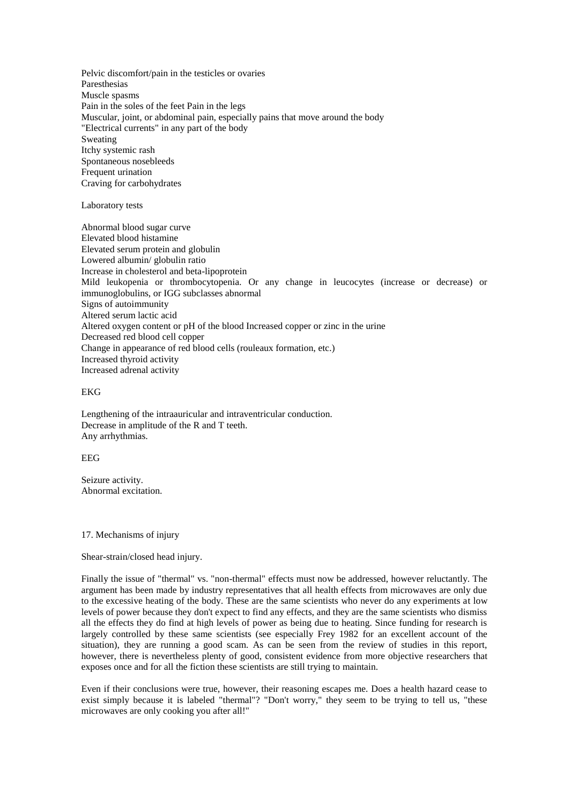Pelvic discomfort/pain in the testicles or ovaries Paresthesias Muscle spasms Pain in the soles of the feet Pain in the legs Muscular, joint, or abdominal pain, especially pains that move around the body "Electrical currents" in any part of the body Sweating Itchy systemic rash Spontaneous nosebleeds Frequent urination Craving for carbohydrates

# Laboratory tests

Abnormal blood sugar curve Elevated blood histamine Elevated serum protein and globulin Lowered albumin/ globulin ratio Increase in cholesterol and beta-lipoprotein Mild leukopenia or thrombocytopenia. Or any change in leucocytes (increase or decrease) or immunoglobulins, or IGG subclasses abnormal Signs of autoimmunity Altered serum lactic acid Altered oxygen content or pH of the blood Increased copper or zinc in the urine Decreased red blood cell copper Change in appearance of red blood cells (rouleaux formation, etc.) Increased thyroid activity Increased adrenal activity

EKG

Lengthening of the intraauricular and intraventricular conduction. Decrease in amplitude of the R and T teeth. Any arrhythmias.

### EEG

Seizure activity. Abnormal excitation.

#### 17. Mechanisms of injury

Shear-strain/closed head injury.

Finally the issue of "thermal" vs. "non-thermal" effects must now be addressed, however reluctantly. The argument has been made by industry representatives that all health effects from microwaves are only due to the excessive heating of the body. These are the same scientists who never do any experiments at low levels of power because they don't expect to find any effects, and they are the same scientists who dismiss all the effects they do find at high levels of power as being due to heating. Since funding for research is largely controlled by these same scientists (see especially Frey 1982 for an excellent account of the situation), they are running a good scam. As can be seen from the review of studies in this report, however, there is nevertheless plenty of good, consistent evidence from more objective researchers that exposes once and for all the fiction these scientists are still trying to maintain.

Even if their conclusions were true, however, their reasoning escapes me. Does a health hazard cease to exist simply because it is labeled "thermal"? "Don't worry," they seem to be trying to tell us, "these microwaves are only cooking you after all!"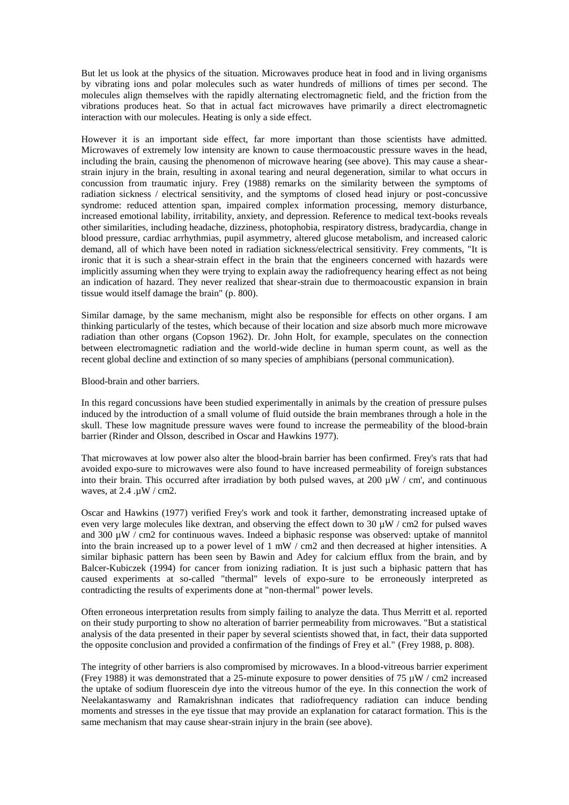But let us look at the physics of the situation. Microwaves produce heat in food and in living organisms by vibrating ions and polar molecules such as water hundreds of millions of times per second. The molecules align themselves with the rapidly alternating electromagnetic field, and the friction from the vibrations produces heat. So that in actual fact microwaves have primarily a direct electromagnetic interaction with our molecules. Heating is only a side effect.

However it is an important side effect, far more important than those scientists have admitted. Microwaves of extremely low intensity are known to cause thermoacoustic pressure waves in the head, including the brain, causing the phenomenon of microwave hearing (see above). This may cause a shearstrain injury in the brain, resulting in axonal tearing and neural degeneration, similar to what occurs in concussion from traumatic injury. Frey (1988) remarks on the similarity between the symptoms of radiation sickness / electrical sensitivity, and the symptoms of closed head injury or post-concussive syndrome: reduced attention span, impaired complex information processing, memory disturbance, increased emotional lability, irritability, anxiety, and depression. Reference to medical text-books reveals other similarities, including headache, dizziness, photophobia, respiratory distress, bradycardia, change in blood pressure, cardiac arrhythmias, pupil asymmetry, altered glucose metabolism, and increased caloric demand, all of which have been noted in radiation sickness/electrical sensitivity. Frey comments, "It is ironic that it is such a shear-strain effect in the brain that the engineers concerned with hazards were implicitly assuming when they were trying to explain away the radiofrequency hearing effect as not being an indication of hazard. They never realized that shear-strain due to thermoacoustic expansion in brain tissue would itself damage the brain" (p. 800).

Similar damage, by the same mechanism, might also be responsible for effects on other organs. I am thinking particularly of the testes, which because of their location and size absorb much more microwave radiation than other organs (Copson 1962). Dr. John Holt, for example, speculates on the connection between electromagnetic radiation and the world-wide decline in human sperm count, as well as the recent global decline and extinction of so many species of amphibians (personal communication).

Blood-brain and other barriers.

In this regard concussions have been studied experimentally in animals by the creation of pressure pulses induced by the introduction of a small volume of fluid outside the brain membranes through a hole in the skull. These low magnitude pressure waves were found to increase the permeability of the blood-brain barrier (Rinder and Olsson, described in Oscar and Hawkins 1977).

That microwaves at low power also alter the blood-brain barrier has been confirmed. Frey's rats that had avoided expo-sure to microwaves were also found to have increased permeability of foreign substances into their brain. This occurred after irradiation by both pulsed waves, at 200  $\mu$ W / cm', and continuous waves, at 2.4 .µW / cm2.

Oscar and Hawkins (1977) verified Frey's work and took it farther, demonstrating increased uptake of even very large molecules like dextran, and observing the effect down to 30  $\mu$ W / cm2 for pulsed waves and 300  $\mu$ W / cm2 for continuous waves. Indeed a biphasic response was observed: uptake of mannitol into the brain increased up to a power level of 1 mW / cm2 and then decreased at higher intensities. A similar biphasic pattern has been seen by Bawin and Adey for calcium efflux from the brain, and by Balcer-Kubiczek (1994) for cancer from ionizing radiation. It is just such a biphasic pattern that has caused experiments at so-called "thermal" levels of expo-sure to be erroneously interpreted as contradicting the results of experiments done at "non-thermal" power levels.

Often erroneous interpretation results from simply failing to analyze the data. Thus Merritt et al. reported on their study purporting to show no alteration of barrier permeability from microwaves. "But a statistical analysis of the data presented in their paper by several scientists showed that, in fact, their data supported the opposite conclusion and provided a confirmation of the findings of Frey et al." (Frey 1988, p. 808).

The integrity of other barriers is also compromised by microwaves. In a blood-vitreous barrier experiment (Frey 1988) it was demonstrated that a 25-minute exposure to power densities of 75  $\mu$ W / cm2 increased the uptake of sodium fluorescein dye into the vitreous humor of the eye. In this connection the work of Neelakantaswamy and Ramakrishnan indicates that radiofrequency radiation can induce bending moments and stresses in the eye tissue that may provide an explanation for cataract formation. This is the same mechanism that may cause shear-strain injury in the brain (see above).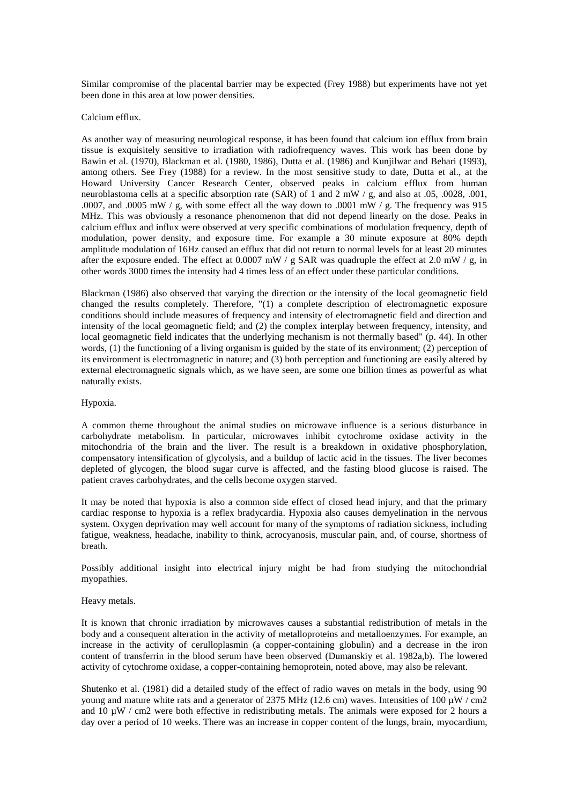Similar compromise of the placental barrier may be expected (Frey 1988) but experiments have not yet been done in this area at low power densities.

Calcium efflux.

As another way of measuring neurological response, it has been found that calcium ion efflux from brain tissue is exquisitely sensitive to irradiation with radiofrequency waves. This work has been done by Bawin et al. (1970), Blackman et al. (1980, 1986), Dutta et al. (1986) and Kunjilwar and Behari (1993), among others. See Frey (1988) for a review. In the most sensitive study to date, Dutta et al., at the Howard University Cancer Research Center, observed peaks in calcium efflux from human neuroblastoma cells at a specific absorption rate (SAR) of 1 and 2 mW / g, and also at .05, .0028, .001, .0007, and .0005 mW / g, with some effect all the way down to .0001 mW / g. The frequency was 915 MHz. This was obviously a resonance phenomenon that did not depend linearly on the dose. Peaks in calcium efflux and influx were observed at very specific combinations of modulation frequency, depth of modulation, power density, and exposure time. For example a 30 minute exposure at 80% depth amplitude modulation of 16Hz caused an efflux that did not return to normal levels for at least 20 minutes after the exposure ended. The effect at 0.0007 mW / g SAR was quadruple the effect at 2.0 mW / g, in other words 3000 times the intensity had 4 times less of an effect under these particular conditions.

Blackman (1986) also observed that varying the direction or the intensity of the local geomagnetic field changed the results completely. Therefore, "(1) a complete description of electromagnetic exposure conditions should include measures of frequency and intensity of electromagnetic field and direction and intensity of the local geomagnetic field; and (2) the complex interplay between frequency, intensity, and local geomagnetic field indicates that the underlying mechanism is not thermally based" (p. 44). In other words, (1) the functioning of a living organism is guided by the state of its environment; (2) perception of its environment is electromagnetic in nature; and (3) both perception and functioning are easily altered by external electromagnetic signals which, as we have seen, are some one billion times as powerful as what naturally exists.

# Hypoxia.

A common theme throughout the animal studies on microwave influence is a serious disturbance in carbohydrate metabolism. In particular, microwaves inhibit cytochrome oxidase activity in the mitochondria of the brain and the liver. The result is a breakdown in oxidative phosphorylation, compensatory intensification of glycolysis, and a buildup of lactic acid in the tissues. The liver becomes depleted of glycogen, the blood sugar curve is affected, and the fasting blood glucose is raised. The patient craves carbohydrates, and the cells become oxygen starved.

It may be noted that hypoxia is also a common side effect of closed head injury, and that the primary cardiac response to hypoxia is a reflex bradycardia. Hypoxia also causes demyelination in the nervous system. Oxygen deprivation may well account for many of the symptoms of radiation sickness, including fatigue, weakness, headache, inability to think, acrocyanosis, muscular pain, and, of course, shortness of breath.

Possibly additional insight into electrical injury might be had from studying the mitochondrial myopathies.

# Heavy metals.

It is known that chronic irradiation by microwaves causes a substantial redistribution of metals in the body and a consequent alteration in the activity of metalloproteins and metalloenzymes. For example, an increase in the activity of cerulloplasmin (a copper-containing globulin) and a decrease in the iron content of transferrin in the blood serum have been observed (Dumanskiy et al. 1982a,b). The lowered activity of cytochrome oxidase, a copper-containing hemoprotein, noted above, may also be relevant.

Shutenko et al. (1981) did a detailed study of the effect of radio waves on metals in the body, using 90 young and mature white rats and a generator of 2375 MHz (12.6 cm) waves. Intensities of 100  $\mu$ W / cm2 and 10  $\mu$ W / cm2 were both effective in redistributing metals. The animals were exposed for 2 hours a day over a period of 10 weeks. There was an increase in copper content of the lungs, brain, myocardium,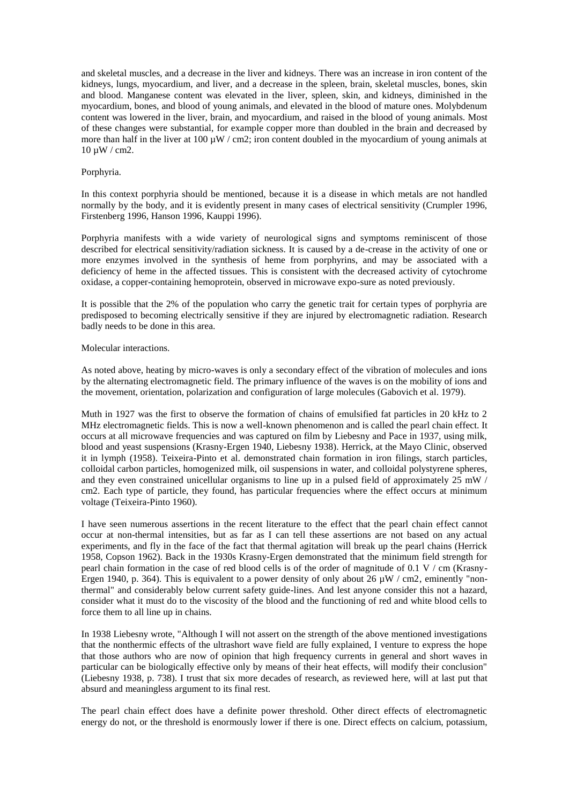and skeletal muscles, and a decrease in the liver and kidneys. There was an increase in iron content of the kidneys, lungs, myocardium, and liver, and a decrease in the spleen, brain, skeletal muscles, bones, skin and blood. Manganese content was elevated in the liver, spleen, skin, and kidneys, diminished in the myocardium, bones, and blood of young animals, and elevated in the blood of mature ones. Molybdenum content was lowered in the liver, brain, and myocardium, and raised in the blood of young animals. Most of these changes were substantial, for example copper more than doubled in the brain and decreased by more than half in the liver at 100  $\mu$ W / cm2; iron content doubled in the myocardium of young animals at 10 µW / cm2.

# Porphyria.

In this context porphyria should be mentioned, because it is a disease in which metals are not handled normally by the body, and it is evidently present in many cases of electrical sensitivity (Crumpler 1996, Firstenberg 1996, Hanson 1996, Kauppi 1996).

Porphyria manifests with a wide variety of neurological signs and symptoms reminiscent of those described for electrical sensitivity/radiation sickness. It is caused by a de-crease in the activity of one or more enzymes involved in the synthesis of heme from porphyrins, and may be associated with a deficiency of heme in the affected tissues. This is consistent with the decreased activity of cytochrome oxidase, a copper-containing hemoprotein, observed in microwave expo-sure as noted previously.

It is possible that the 2% of the population who carry the genetic trait for certain types of porphyria are predisposed to becoming electrically sensitive if they are injured by electromagnetic radiation. Research badly needs to be done in this area.

# Molecular interactions.

As noted above, heating by micro-waves is only a secondary effect of the vibration of molecules and ions by the alternating electromagnetic field. The primary influence of the waves is on the mobility of ions and the movement, orientation, polarization and configuration of large molecules (Gabovich et al. 1979).

Muth in 1927 was the first to observe the formation of chains of emulsified fat particles in 20 kHz to 2 MHz electromagnetic fields. This is now a well-known phenomenon and is called the pearl chain effect. It occurs at all microwave frequencies and was captured on film by Liebesny and Pace in 1937, using milk, blood and yeast suspensions (Krasny-Ergen 1940, Liebesny 1938). Herrick, at the Mayo Clinic, observed it in lymph (1958). Teixeira-Pinto et al. demonstrated chain formation in iron filings, starch particles, colloidal carbon particles, homogenized milk, oil suspensions in water, and colloidal polystyrene spheres, and they even constrained unicellular organisms to line up in a pulsed field of approximately  $25 \text{ mW}$  / cm2. Each type of particle, they found, has particular frequencies where the effect occurs at minimum voltage (Teixeira-Pinto 1960).

I have seen numerous assertions in the recent literature to the effect that the pearl chain effect cannot occur at non-thermal intensities, but as far as I can tell these assertions are not based on any actual experiments, and fly in the face of the fact that thermal agitation will break up the pearl chains (Herrick 1958, Copson 1962). Back in the 1930s Krasny-Ergen demonstrated that the minimum field strength for pearl chain formation in the case of red blood cells is of the order of magnitude of 0.1 V / cm (Krasny-Ergen 1940, p. 364). This is equivalent to a power density of only about 26  $\mu$ W / cm2, eminently "nonthermal" and considerably below current safety guide-lines. And lest anyone consider this not a hazard, consider what it must do to the viscosity of the blood and the functioning of red and white blood cells to force them to all line up in chains.

In 1938 Liebesny wrote, "Although I will not assert on the strength of the above mentioned investigations that the nonthermic effects of the ultrashort wave field are fully explained, I venture to express the hope that those authors who are now of opinion that high frequency currents in general and short waves in particular can be biologically effective only by means of their heat effects, will modify their conclusion" (Liebesny 1938, p. 738). I trust that six more decades of research, as reviewed here, will at last put that absurd and meaningless argument to its final rest.

The pearl chain effect does have a definite power threshold. Other direct effects of electromagnetic energy do not, or the threshold is enormously lower if there is one. Direct effects on calcium, potassium,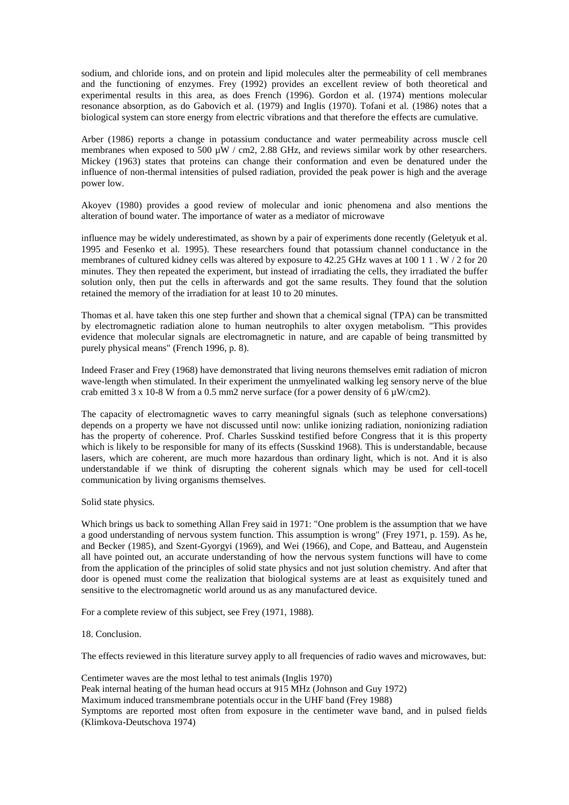sodium, and chloride ions, and on protein and lipid molecules alter the permeability of cell membranes and the functioning of enzymes. Frey (1992) provides an excellent review of both theoretical and experimental results in this area, as does French (1996). Gordon et al. (1974) mentions molecular resonance absorption, as do Gabovich et al. (1979) and Inglis (1970). Tofani et al. (1986) notes that a biological system can store energy from electric vibrations and that therefore the effects are cumulative.

Arber (1986) reports a change in potassium conductance and water permeability across muscle cell membranes when exposed to 500  $\mu$ W / cm2, 2.88 GHz, and reviews similar work by other researchers. Mickey (1963) states that proteins can change their conformation and even be denatured under the influence of non-thermal intensities of pulsed radiation, provided the peak power is high and the average power low.

Akoyev (1980) provides a good review of molecular and ionic phenomena and also mentions the alteration of bound water. The importance of water as a mediator of microwave

influence may be widely underestimated, as shown by a pair of experiments done recently (Geletyuk et al. 1995 and Fesenko et al. 1995). These researchers found that potassium channel conductance in the membranes of cultured kidney cells was altered by exposure to  $42.25$  GHz waves at 100 1 1. W / 2 for 20 minutes. They then repeated the experiment, but instead of irradiating the cells, they irradiated the buffer solution only, then put the cells in afterwards and got the same results. They found that the solution retained the memory of the irradiation for at least 10 to 20 minutes.

Thomas et al. have taken this one step further and shown that a chemical signal (TPA) can be transmitted by electromagnetic radiation alone to human neutrophils to alter oxygen metabolism. "This provides evidence that molecular signals are electromagnetic in nature, and are capable of being transmitted by purely physical means" (French 1996, p. 8).

Indeed Fraser and Frey (1968) have demonstrated that living neurons themselves emit radiation of micron wave-length when stimulated. In their experiment the unmyelinated walking leg sensory nerve of the blue crab emitted 3 x 10-8 W from a 0.5 mm2 nerve surface (for a power density of 6  $\mu$ W/cm2).

The capacity of electromagnetic waves to carry meaningful signals (such as telephone conversations) depends on a property we have not discussed until now: unlike ionizing radiation, nonionizing radiation has the property of coherence. Prof. Charles Susskind testified before Congress that it is this property which is likely to be responsible for many of its effects (Susskind 1968). This is understandable, because lasers, which are coherent, are much more hazardous than ordinary light, which is not. And it is also understandable if we think of disrupting the coherent signals which may be used for cell-tocell communication by living organisms themselves.

# Solid state physics.

Which brings us back to something Allan Frey said in 1971: "One problem is the assumption that we have a good understanding of nervous system function. This assumption is wrong" (Frey 1971, p. 159). As he, and Becker (1985), and Szent-Gyorgyi (1969), and Wei (1966), and Cope, and Batteau, and Augenstein all have pointed out, an accurate understanding of how the nervous system functions will have to come from the application of the principles of solid state physics and not just solution chemistry. And after that door is opened must come the realization that biological systems are at least as exquisitely tuned and sensitive to the electromagnetic world around us as any manufactured device.

For a complete review of this subject, see Frey (1971, 1988).

# 18. Conclusion.

The effects reviewed in this literature survey apply to all frequencies of radio waves and microwaves, but:

Centimeter waves are the most lethal to test animals (Inglis 1970)

Peak internal heating of the human head occurs at 915 MHz (Johnson and Guy 1972)

Maximum induced transmembrane potentials occur in the UHF band (Frey 1988)

Symptoms are reported most often from exposure in the centimeter wave band, and in pulsed fields (Klimkova-Deutschova 1974)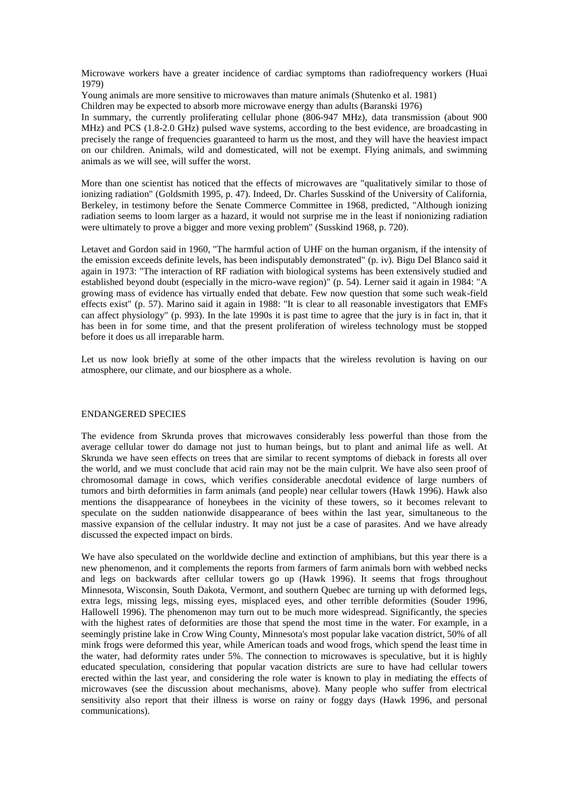Microwave workers have a greater incidence of cardiac symptoms than radiofrequency workers (Huai 1979)

Young animals are more sensitive to microwaves than mature animals (Shutenko et al. 1981)

Children may be expected to absorb more microwave energy than adults (Baranski 1976)

In summary, the currently proliferating cellular phone (806-947 MHz), data transmission (about 900 MHz) and PCS (1.8-2.0 GHz) pulsed wave systems, according to the best evidence, are broadcasting in precisely the range of frequencies guaranteed to harm us the most, and they will have the heaviest impact on our children. Animals, wild and domesticated, will not be exempt. Flying animals, and swimming animals as we will see, will suffer the worst.

More than one scientist has noticed that the effects of microwaves are "qualitatively similar to those of ionizing radiation" (Goldsmith 1995, p. 47). Indeed, Dr. Charles Susskind of the University of California, Berkeley, in testimony before the Senate Commerce Committee in 1968, predicted, "Although ionizing radiation seems to loom larger as a hazard, it would not surprise me in the least if nonionizing radiation were ultimately to prove a bigger and more vexing problem" (Susskind 1968, p. 720).

Letavet and Gordon said in 1960, "The harmful action of UHF on the human organism, if the intensity of the emission exceeds definite levels, has been indisputably demonstrated" (p. iv). Bigu Del Blanco said it again in 1973: "The interaction of RF radiation with biological systems has been extensively studied and established beyond doubt (especially in the micro-wave region)" (p. 54). Lerner said it again in 1984: "A growing mass of evidence has virtually ended that debate. Few now question that some such weak-field effects exist" (p. 57). Marino said it again in 1988: "It is clear to all reasonable investigators that EMFs can affect physiology" (p. 993). In the late 1990s it is past time to agree that the jury is in fact in, that it has been in for some time, and that the present proliferation of wireless technology must be stopped before it does us all irreparable harm.

Let us now look briefly at some of the other impacts that the wireless revolution is having on our atmosphere, our climate, and our biosphere as a whole.

# ENDANGERED SPECIES

The evidence from Skrunda proves that microwaves considerably less powerful than those from the average cellular tower do damage not just to human beings, but to plant and animal life as well. At Skrunda we have seen effects on trees that are similar to recent symptoms of dieback in forests all over the world, and we must conclude that acid rain may not be the main culprit. We have also seen proof of chromosomal damage in cows, which verifies considerable anecdotal evidence of large numbers of tumors and birth deformities in farm animals (and people) near cellular towers (Hawk 1996). Hawk also mentions the disappearance of honeybees in the vicinity of these towers, so it becomes relevant to speculate on the sudden nationwide disappearance of bees within the last year, simultaneous to the massive expansion of the cellular industry. It may not just be a case of parasites. And we have already discussed the expected impact on birds.

We have also speculated on the worldwide decline and extinction of amphibians, but this year there is a new phenomenon, and it complements the reports from farmers of farm animals born with webbed necks and legs on backwards after cellular towers go up (Hawk 1996). It seems that frogs throughout Minnesota, Wisconsin, South Dakota, Vermont, and southern Quebec are turning up with deformed legs, extra legs, missing legs, missing eyes, misplaced eyes, and other terrible deformities (Souder 1996, Hallowell 1996). The phenomenon may turn out to be much more widespread. Significantly, the species with the highest rates of deformities are those that spend the most time in the water. For example, in a seemingly pristine lake in Crow Wing County, Minnesota's most popular lake vacation district, 50% of all mink frogs were deformed this year, while American toads and wood frogs, which spend the least time in the water, had deformity rates under 5%. The connection to microwaves is speculative, but it is highly educated speculation, considering that popular vacation districts are sure to have had cellular towers erected within the last year, and considering the role water is known to play in mediating the effects of microwaves (see the discussion about mechanisms, above). Many people who suffer from electrical sensitivity also report that their illness is worse on rainy or foggy days (Hawk 1996, and personal communications).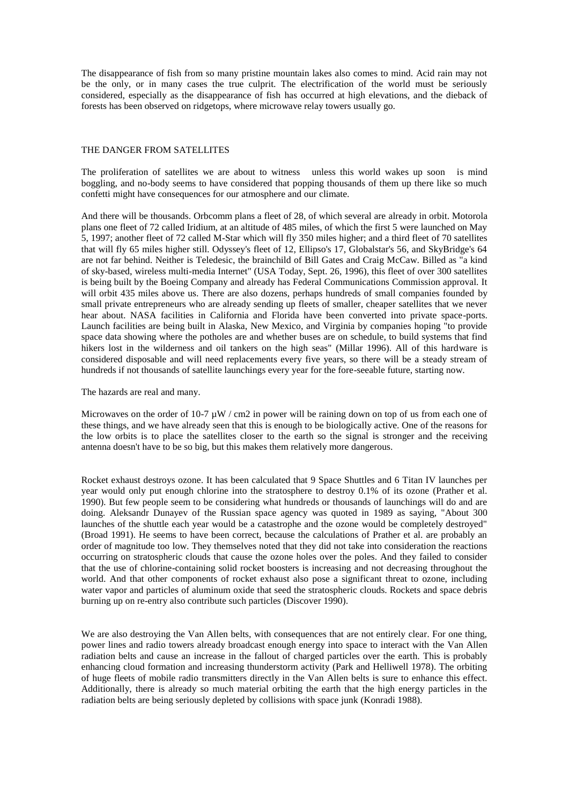The disappearance of fish from so many pristine mountain lakes also comes to mind. Acid rain may not be the only, or in many cases the true culprit. The electrification of the world must be seriously considered, especially as the disappearance of fish has occurred at high elevations, and the dieback of forests has been observed on ridgetops, where microwave relay towers usually go.

# THE DANGER FROM SATELLITES

The proliferation of satellites we are about to witness unless this world wakes up soon is mind boggling, and no-body seems to have considered that popping thousands of them up there like so much confetti might have consequences for our atmosphere and our climate.

And there will be thousands. Orbcomm plans a fleet of 28, of which several are already in orbit. Motorola plans one fleet of 72 called Iridium, at an altitude of 485 miles, of which the first 5 were launched on May 5, 1997; another fleet of 72 called M-Star which will fly 350 miles higher; and a third fleet of 70 satellites that will fly 65 miles higher still. Odyssey's fleet of 12, Ellipso's 17, Globalstar's 56, and SkyBridge's 64 are not far behind. Neither is Teledesic, the brainchild of Bill Gates and Craig McCaw. Billed as "a kind of sky-based, wireless multi-media Internet" (USA Today, Sept. 26, 1996), this fleet of over 300 satellites is being built by the Boeing Company and already has Federal Communications Commission approval. It will orbit 435 miles above us. There are also dozens, perhaps hundreds of small companies founded by small private entrepreneurs who are already sending up fleets of smaller, cheaper satellites that we never hear about. NASA facilities in California and Florida have been converted into private space-ports. Launch facilities are being built in Alaska, New Mexico, and Virginia by companies hoping "to provide space data showing where the potholes are and whether buses are on schedule, to build systems that find hikers lost in the wilderness and oil tankers on the high seas" (Millar 1996). All of this hardware is considered disposable and will need replacements every five years, so there will be a steady stream of hundreds if not thousands of satellite launchings every year for the fore-seeable future, starting now.

The hazards are real and many.

Microwaves on the order of 10-7  $\mu$ W / cm2 in power will be raining down on top of us from each one of these things, and we have already seen that this is enough to be biologically active. One of the reasons for the low orbits is to place the satellites closer to the earth so the signal is stronger and the receiving antenna doesn't have to be so big, but this makes them relatively more dangerous.

Rocket exhaust destroys ozone. It has been calculated that 9 Space Shuttles and 6 Titan IV launches per year would only put enough chlorine into the stratosphere to destroy 0.1% of its ozone (Prather et al. 1990). But few people seem to be considering what hundreds or thousands of launchings will do and are doing. Aleksandr Dunayev of the Russian space agency was quoted in 1989 as saying, "About 300 launches of the shuttle each year would be a catastrophe and the ozone would be completely destroyed" (Broad 1991). He seems to have been correct, because the calculations of Prather et al. are probably an order of magnitude too low. They themselves noted that they did not take into consideration the reactions occurring on stratospheric clouds that cause the ozone holes over the poles. And they failed to consider that the use of chlorine-containing solid rocket boosters is increasing and not decreasing throughout the world. And that other components of rocket exhaust also pose a significant threat to ozone, including water vapor and particles of aluminum oxide that seed the stratospheric clouds. Rockets and space debris burning up on re-entry also contribute such particles (Discover 1990).

We are also destroying the Van Allen belts, with consequences that are not entirely clear. For one thing, power lines and radio towers already broadcast enough energy into space to interact with the Van Allen radiation belts and cause an increase in the fallout of charged particles over the earth. This is probably enhancing cloud formation and increasing thunderstorm activity (Park and Helliwell 1978). The orbiting of huge fleets of mobile radio transmitters directly in the Van Allen belts is sure to enhance this effect. Additionally, there is already so much material orbiting the earth that the high energy particles in the radiation belts are being seriously depleted by collisions with space junk (Konradi 1988).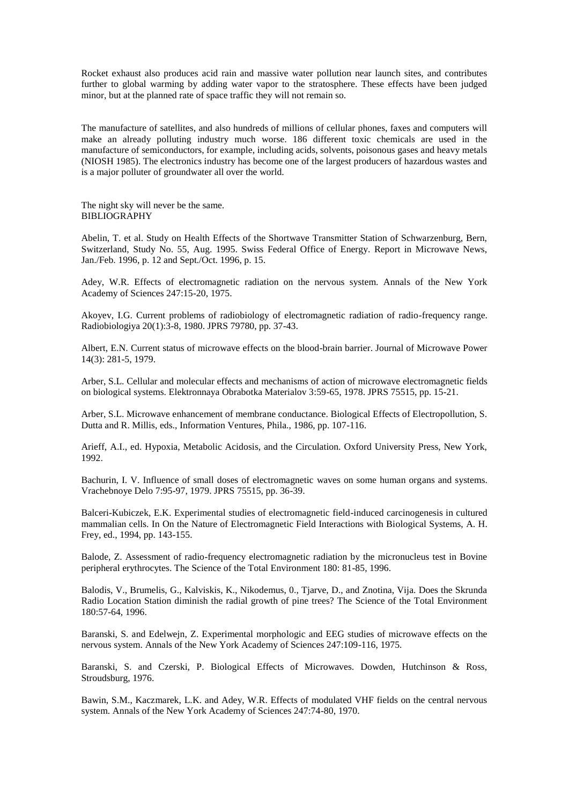Rocket exhaust also produces acid rain and massive water pollution near launch sites, and contributes further to global warming by adding water vapor to the stratosphere. These effects have been judged minor, but at the planned rate of space traffic they will not remain so.

The manufacture of satellites, and also hundreds of millions of cellular phones, faxes and computers will make an already polluting industry much worse. 186 different toxic chemicals are used in the manufacture of semiconductors, for example, including acids, solvents, poisonous gases and heavy metals (NIOSH 1985). The electronics industry has become one of the largest producers of hazardous wastes and is a major polluter of groundwater all over the world.

The night sky will never be the same. **BIBLIOGRAPHY** 

Abelin, T. et al. Study on Health Effects of the Shortwave Transmitter Station of Schwarzenburg, Bern, Switzerland, Study No. 55, Aug. 1995. Swiss Federal Office of Energy. Report in Microwave News, Jan./Feb. 1996, p. 12 and Sept./Oct. 1996, p. 15.

Adey, W.R. Effects of electromagnetic radiation on the nervous system. Annals of the New York Academy of Sciences 247:15-20, 1975.

Akoyev, I.G. Current problems of radiobiology of electromagnetic radiation of radio-frequency range. Radiobiologiya 20(1):3-8, 1980. JPRS 79780, pp. 37-43.

Albert, E.N. Current status of microwave effects on the blood-brain barrier. Journal of Microwave Power 14(3): 281-5, 1979.

Arber, S.L. Cellular and molecular effects and mechanisms of action of microwave electromagnetic fields on biological systems. Elektronnaya Obrabotka Materialov 3:59-65, 1978. JPRS 75515, pp. 15-21.

Arber, S.L. Microwave enhancement of membrane conductance. Biological Effects of Electropollution, S. Dutta and R. Millis, eds., Information Ventures, Phila., 1986, pp. 107-116.

Arieff, A.I., ed. Hypoxia, Metabolic Acidosis, and the Circulation. Oxford University Press, New York, 1992.

Bachurin, I. V. Influence of small doses of electromagnetic waves on some human organs and systems. Vrachebnoye Delo 7:95-97, 1979. JPRS 75515, pp. 36-39.

Balceri-Kubiczek, E.K. Experimental studies of electromagnetic field-induced carcinogenesis in cultured mammalian cells. In On the Nature of Electromagnetic Field Interactions with Biological Systems, A. H. Frey, ed., 1994, pp. 143-155.

Balode, Z. Assessment of radio-frequency electromagnetic radiation by the micronucleus test in Bovine peripheral erythrocytes. The Science of the Total Environment 180: 81-85, 1996.

Balodis, V., Brumelis, G., Kalviskis, K., Nikodemus, 0., Tjarve, D., and Znotina, Vija. Does the Skrunda Radio Location Station diminish the radial growth of pine trees? The Science of the Total Environment 180:57-64, 1996.

Baranski, S. and Edelwejn, Z. Experimental morphologic and EEG studies of microwave effects on the nervous system. Annals of the New York Academy of Sciences 247:109-116, 1975.

Baranski, S. and Czerski, P. Biological Effects of Microwaves. Dowden, Hutchinson & Ross, Stroudsburg, 1976.

Bawin, S.M., Kaczmarek, L.K. and Adey, W.R. Effects of modulated VHF fields on the central nervous system. Annals of the New York Academy of Sciences 247:74-80, 1970.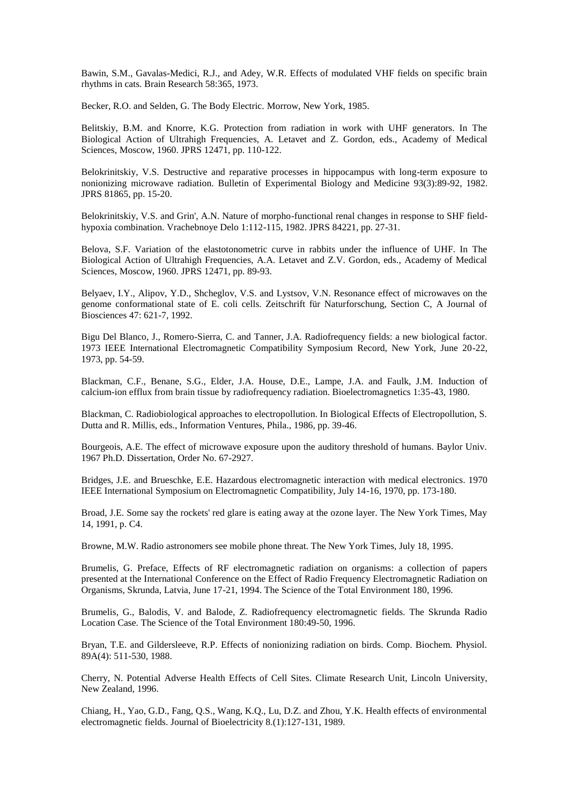Bawin, S.M., Gavalas-Medici, R.J., and Adey, W.R. Effects of modulated VHF fields on specific brain rhythms in cats. Brain Research 58:365, 1973.

Becker, R.O. and Selden, G. The Body Electric. Morrow, New York, 1985.

Belitskiy, B.M. and Knorre, K.G. Protection from radiation in work with UHF generators. In The Biological Action of Ultrahigh Frequencies, A. Letavet and Z. Gordon, eds., Academy of Medical Sciences, Moscow, 1960. JPRS 12471, pp. 110-122.

Belokrinitskiy, V.S. Destructive and reparative processes in hippocampus with long-term exposure to nonionizing microwave radiation. Bulletin of Experimental Biology and Medicine 93(3):89-92, 1982. JPRS 81865, pp. 15-20.

Belokrinitskiy, V.S. and Grin', A.N. Nature of morpho-functional renal changes in response to SHF fieldhypoxia combination. Vrachebnoye Delo 1:112-115, 1982. JPRS 84221, pp. 27-31.

Belova, S.F. Variation of the elastotonometric curve in rabbits under the influence of UHF. In The Biological Action of Ultrahigh Frequencies, A.A. Letavet and Z.V. Gordon, eds., Academy of Medical Sciences, Moscow, 1960. JPRS 12471, pp. 89-93.

Belyaev, I.Y., Alipov, Y.D., Shcheglov, V.S. and Lystsov, V.N. Resonance effect of microwaves on the genome conformational state of E. coli cells. Zeitschrift für Naturforschung, Section C, A Journal of Biosciences 47: 621-7, 1992.

Bigu Del Blanco, J., Romero-Sierra, C. and Tanner, J.A. Radiofrequency fields: a new biological factor. 1973 IEEE International Electromagnetic Compatibility Symposium Record, New York, June 20-22, 1973, pp. 54-59.

Blackman, C.F., Benane, S.G., Elder, J.A. House, D.E., Lampe, J.A. and Faulk, J.M. Induction of calcium-ion efflux from brain tissue by radiofrequency radiation. Bioelectromagnetics 1:35-43, 1980.

Blackman, C. Radiobiological approaches to electropollution. In Biological Effects of Electropollution, S. Dutta and R. Millis, eds., Information Ventures, Phila., 1986, pp. 39-46.

Bourgeois, A.E. The effect of microwave exposure upon the auditory threshold of humans. Baylor Univ. 1967 Ph.D. Dissertation, Order No. 67-2927.

Bridges, J.E. and Brueschke, E.E. Hazardous electromagnetic interaction with medical electronics. 1970 IEEE International Symposium on Electromagnetic Compatibility, July 14-16, 1970, pp. 173-180.

Broad, J.E. Some say the rockets' red glare is eating away at the ozone layer. The New York Times, May 14, 1991, p. C4.

Browne, M.W. Radio astronomers see mobile phone threat. The New York Times, July 18, 1995.

Brumelis, G. Preface, Effects of RF electromagnetic radiation on organisms: a collection of papers presented at the International Conference on the Effect of Radio Frequency Electromagnetic Radiation on Organisms, Skrunda, Latvia, June 17-21, 1994. The Science of the Total Environment 180, 1996.

Brumelis, G., Balodis, V. and Balode, Z. Radiofrequency electromagnetic fields. The Skrunda Radio Location Case. The Science of the Total Environment 180:49-50, 1996.

Bryan, T.E. and Gildersleeve, R.P. Effects of nonionizing radiation on birds. Comp. Biochem. Physiol. 89A(4): 511-530, 1988.

Cherry, N. Potential Adverse Health Effects of Cell Sites. Climate Research Unit, Lincoln University, New Zealand, 1996.

Chiang, H., Yao, G.D., Fang, Q.S., Wang, K.Q., Lu, D.Z. and Zhou, Y.K. Health effects of environmental electromagnetic fields. Journal of Bioelectricity 8.(1):127-131, 1989.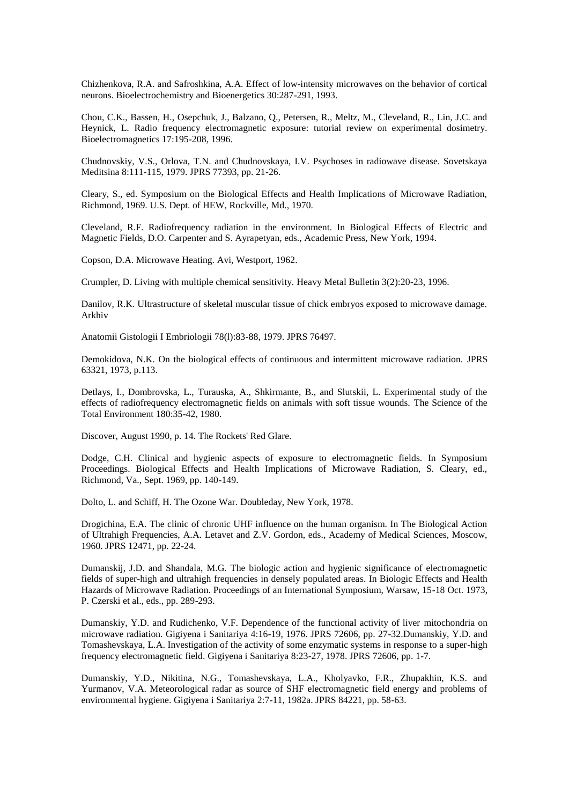Chizhenkova, R.A. and Safroshkina, A.A. Effect of low-intensity microwaves on the behavior of cortical neurons. Bioelectrochemistry and Bioenergetics 30:287-291, 1993.

Chou, C.K., Bassen, H., Osepchuk, J., Balzano, Q., Petersen, R., Meltz, M., Cleveland, R., Lin, J.C. and Heynick, L. Radio frequency electromagnetic exposure: tutorial review on experimental dosimetry. Bioelectromagnetics 17:195-208, 1996.

Chudnovskiy, V.S., Orlova, T.N. and Chudnovskaya, I.V. Psychoses in radiowave disease. Sovetskaya Meditsina 8:111-115, 1979. JPRS 77393, pp. 21-26.

Cleary, S., ed. Symposium on the Biological Effects and Health Implications of Microwave Radiation, Richmond, 1969. U.S. Dept. of HEW, Rockville, Md., 1970.

Cleveland, R.F. Radiofrequency radiation in the environment. In Biological Effects of Electric and Magnetic Fields, D.O. Carpenter and S. Ayrapetyan, eds., Academic Press, New York, 1994.

Copson, D.A. Microwave Heating. Avi, Westport, 1962.

Crumpler, D. Living with multiple chemical sensitivity. Heavy Metal Bulletin 3(2):20-23, 1996.

Danilov, R.K. Ultrastructure of skeletal muscular tissue of chick embryos exposed to microwave damage. Arkhiv

Anatomii Gistologii I Embriologii 78(l):83-88, 1979. JPRS 76497.

Demokidova, N.K. On the biological effects of continuous and intermittent microwave radiation. JPRS 63321, 1973, p.113.

Detlays, I., Dombrovska, L., Turauska, A., Shkirmante, B., and Slutskii, L. Experimental study of the effects of radiofrequency electromagnetic fields on animals with soft tissue wounds. The Science of the Total Environment 180:35-42, 1980.

Discover, August 1990, p. 14. The Rockets' Red Glare.

Dodge, C.H. Clinical and hygienic aspects of exposure to electromagnetic fields. In Symposium Proceedings. Biological Effects and Health Implications of Microwave Radiation, S. Cleary, ed., Richmond, Va., Sept. 1969, pp. 140-149.

Dolto, L. and Schiff, H. The Ozone War. Doubleday, New York, 1978.

Drogichina, E.A. The clinic of chronic UHF influence on the human organism. In The Biological Action of Ultrahigh Frequencies, A.A. Letavet and Z.V. Gordon, eds., Academy of Medical Sciences, Moscow, 1960. JPRS 12471, pp. 22-24.

Dumanskij, J.D. and Shandala, M.G. The biologic action and hygienic significance of electromagnetic fields of super-high and ultrahigh frequencies in densely populated areas. In Biologic Effects and Health Hazards of Microwave Radiation. Proceedings of an International Symposium, Warsaw, 15-18 Oct. 1973, P. Czerski et al., eds., pp. 289-293.

Dumanskiy, Y.D. and Rudichenko, V.F. Dependence of the functional activity of liver mitochondria on microwave radiation. Gigiyena i Sanitariya 4:16-19, 1976. JPRS 72606, pp. 27-32.Dumanskiy, Y.D. and Tomashevskaya, L.A. Investigation of the activity of some enzymatic systems in response to a super-high frequency electromagnetic field. Gigiyena i Sanitariya 8:23-27, 1978. JPRS 72606, pp. 1-7.

Dumanskiy, Y.D., Nikitina, N.G., Tomashevskaya, L.A., Kholyavko, F.R., Zhupakhin, K.S. and Yurmanov, V.A. Meteorological radar as source of SHF electromagnetic field energy and problems of environmental hygiene. Gigiyena i Sanitariya 2:7-11, 1982a. JPRS 84221, pp. 58-63.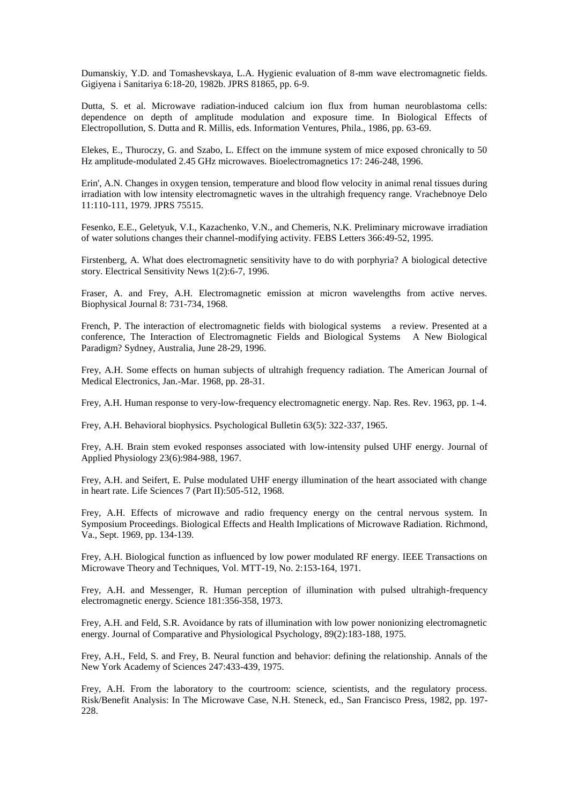Dumanskiy, Y.D. and Tomashevskaya, L.A. Hygienic evaluation of 8-mm wave electromagnetic fields. Gigiyena i Sanitariya 6:18-20, 1982b. JPRS 81865, pp. 6-9.

Dutta, S. et al. Microwave radiation-induced calcium ion flux from human neuroblastoma cells: dependence on depth of amplitude modulation and exposure time. In Biological Effects of Electropollution, S. Dutta and R. Millis, eds. Information Ventures, Phila., 1986, pp. 63-69.

Elekes, E., Thuroczy, G. and Szabo, L. Effect on the immune system of mice exposed chronically to 50 Hz amplitude-modulated 2.45 GHz microwaves. Bioelectromagnetics 17: 246-248, 1996.

Erin', A.N. Changes in oxygen tension, temperature and blood flow velocity in animal renal tissues during irradiation with low intensity electromagnetic waves in the ultrahigh frequency range. Vrachebnoye Delo 11:110-111, 1979. JPRS 75515.

Fesenko, E.E., Geletyuk, V.I., Kazachenko, V.N., and Chemeris, N.K. Preliminary microwave irradiation of water solutions changes their channel-modifying activity. FEBS Letters 366:49-52, 1995.

Firstenberg, A. What does electromagnetic sensitivity have to do with porphyria? A biological detective story. Electrical Sensitivity News 1(2):6-7, 1996.

Fraser, A. and Frey, A.H. Electromagnetic emission at micron wavelengths from active nerves. Biophysical Journal 8: 731-734, 1968.

French, P. The interaction of electromagnetic fields with biological systems a review. Presented at a conference, The Interaction of Electromagnetic Fields and Biological Systems A New Biological Paradigm? Sydney, Australia, June 28-29, 1996.

Frey, A.H. Some effects on human subjects of ultrahigh frequency radiation. The American Journal of Medical Electronics, Jan.-Mar. 1968, pp. 28-31.

Frey, A.H. Human response to very-low-frequency electromagnetic energy. Nap. Res. Rev. 1963, pp. 1-4.

Frey, A.H. Behavioral biophysics. Psychological Bulletin 63(5): 322-337, 1965.

Frey, A.H. Brain stem evoked responses associated with low-intensity pulsed UHF energy. Journal of Applied Physiology 23(6):984-988, 1967.

Frey, A.H. and Seifert, E. Pulse modulated UHF energy illumination of the heart associated with change in heart rate. Life Sciences 7 (Part II):505-512, 1968.

Frey, A.H. Effects of microwave and radio frequency energy on the central nervous system. In Symposium Proceedings. Biological Effects and Health Implications of Microwave Radiation. Richmond, Va., Sept. 1969, pp. 134-139.

Frey, A.H. Biological function as influenced by low power modulated RF energy. IEEE Transactions on Microwave Theory and Techniques, Vol. MTT-19, No. 2:153-164, 1971.

Frey, A.H. and Messenger, R. Human perception of illumination with pulsed ultrahigh-frequency electromagnetic energy. Science 181:356-358, 1973.

Frey, A.H. and Feld, S.R. Avoidance by rats of illumination with low power nonionizing electromagnetic energy. Journal of Comparative and Physiological Psychology, 89(2):183-188, 1975.

Frey, A.H., Feld, S. and Frey, B. Neural function and behavior: defining the relationship. Annals of the New York Academy of Sciences 247:433-439, 1975.

Frey, A.H. From the laboratory to the courtroom: science, scientists, and the regulatory process. Risk/Benefit Analysis: In The Microwave Case, N.H. Steneck, ed., San Francisco Press, 1982, pp. 197- 228.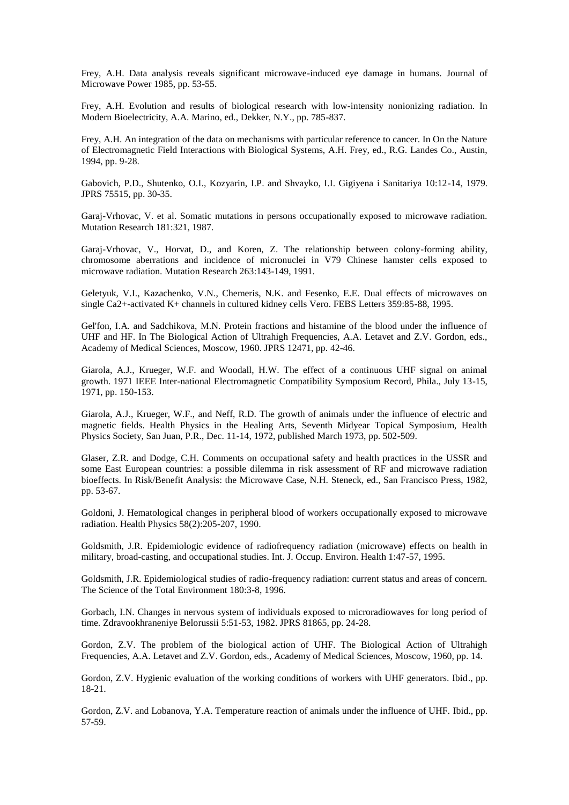Frey, A.H. Data analysis reveals significant microwave-induced eye damage in humans. Journal of Microwave Power 1985, pp. 53-55.

Frey, A.H. Evolution and results of biological research with low-intensity nonionizing radiation. In Modern Bioelectricity, A.A. Marino, ed., Dekker, N.Y., pp. 785-837.

Frey, A.H. An integration of the data on mechanisms with particular reference to cancer. In On the Nature of Electromagnetic Field Interactions with Biological Systems, A.H. Frey, ed., R.G. Landes Co., Austin, 1994, pp. 9-28.

Gabovich, P.D., Shutenko, O.I., Kozyarin, I.P. and Shvayko, I.I. Gigiyena i Sanitariya 10:12-14, 1979. JPRS 75515, pp. 30-35.

Garaj-Vrhovac, V. et al. Somatic mutations in persons occupationally exposed to microwave radiation. Mutation Research 181:321, 1987.

Garaj-Vrhovac, V., Horvat, D., and Koren, Z. The relationship between colony-forming ability, chromosome aberrations and incidence of micronuclei in V79 Chinese hamster cells exposed to microwave radiation. Mutation Research 263:143-149, 1991.

Geletyuk, V.I., Kazachenko, V.N., Chemeris, N.K. and Fesenko, E.E. Dual effects of microwaves on single Ca2+-activated K+ channels in cultured kidney cells Vero. FEBS Letters 359:85-88, 1995.

Gel'fon, I.A. and Sadchikova, M.N. Protein fractions and histamine of the blood under the influence of UHF and HF. In The Biological Action of Ultrahigh Frequencies, A.A. Letavet and Z.V. Gordon, eds., Academy of Medical Sciences, Moscow, 1960. JPRS 12471, pp. 42-46.

Giarola, A.J., Krueger, W.F. and Woodall, H.W. The effect of a continuous UHF signal on animal growth. 1971 IEEE Inter-national Electromagnetic Compatibility Symposium Record, Phila., July 13-15, 1971, pp. 150-153.

Giarola, A.J., Krueger, W.F., and Neff, R.D. The growth of animals under the influence of electric and magnetic fields. Health Physics in the Healing Arts, Seventh Midyear Topical Symposium, Health Physics Society, San Juan, P.R., Dec. 11-14, 1972, published March 1973, pp. 502-509.

Glaser, Z.R. and Dodge, C.H. Comments on occupational safety and health practices in the USSR and some East European countries: a possible dilemma in risk assessment of RF and microwave radiation bioeffects. In Risk/Benefit Analysis: the Microwave Case, N.H. Steneck, ed., San Francisco Press, 1982, pp. 53-67.

Goldoni, J. Hematological changes in peripheral blood of workers occupationally exposed to microwave radiation. Health Physics 58(2):205-207, 1990.

Goldsmith, J.R. Epidemiologic evidence of radiofrequency radiation (microwave) effects on health in military, broad-casting, and occupational studies. Int. J. Occup. Environ. Health 1:47-57, 1995.

Goldsmith, J.R. Epidemiological studies of radio-frequency radiation: current status and areas of concern. The Science of the Total Environment 180:3-8, 1996.

Gorbach, I.N. Changes in nervous system of individuals exposed to microradiowaves for long period of time. Zdravookhraneniye Belorussii 5:51-53, 1982. JPRS 81865, pp. 24-28.

Gordon, Z.V. The problem of the biological action of UHF. The Biological Action of Ultrahigh Frequencies, A.A. Letavet and Z.V. Gordon, eds., Academy of Medical Sciences, Moscow, 1960, pp. 14.

Gordon, Z.V. Hygienic evaluation of the working conditions of workers with UHF generators. Ibid., pp. 18-21.

Gordon, Z.V. and Lobanova, Y.A. Temperature reaction of animals under the influence of UHF. Ibid., pp. 57-59.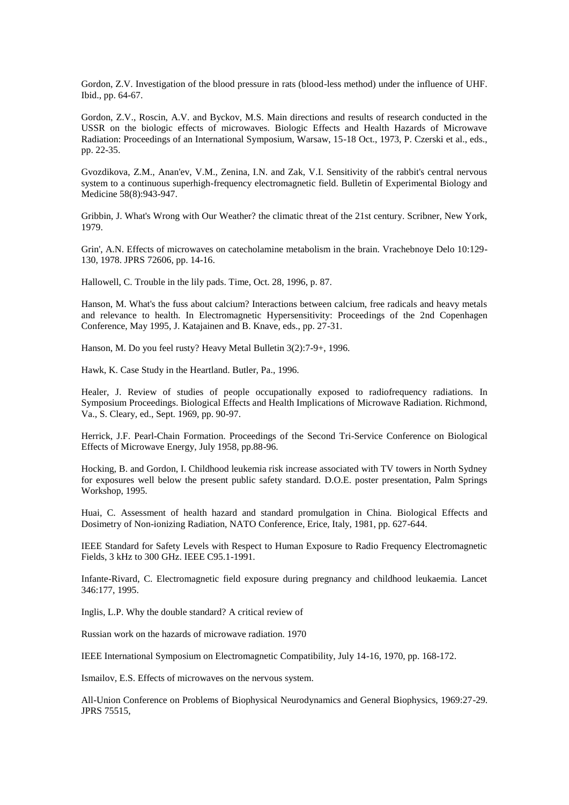Gordon, Z.V. Investigation of the blood pressure in rats (blood-less method) under the influence of UHF. Ibid., pp. 64-67.

Gordon, Z.V., Roscin, A.V. and Byckov, M.S. Main directions and results of research conducted in the USSR on the biologic effects of microwaves. Biologic Effects and Health Hazards of Microwave Radiation: Proceedings of an International Symposium, Warsaw, 15-18 Oct., 1973, P. Czerski et al., eds., pp. 22-35.

Gvozdikova, Z.M., Anan'ev, V.M., Zenina, I.N. and Zak, V.I. Sensitivity of the rabbit's central nervous system to a continuous superhigh-frequency electromagnetic field. Bulletin of Experimental Biology and Medicine 58(8):943-947.

Gribbin, J. What's Wrong with Our Weather? the climatic threat of the 21st century. Scribner, New York, 1979.

Grin', A.N. Effects of microwaves on catecholamine metabolism in the brain. Vrachebnoye Delo 10:129- 130, 1978. JPRS 72606, pp. 14-16.

Hallowell, C. Trouble in the lily pads. Time, Oct. 28, 1996, p. 87.

Hanson, M. What's the fuss about calcium? Interactions between calcium, free radicals and heavy metals and relevance to health. In Electromagnetic Hypersensitivity: Proceedings of the 2nd Copenhagen Conference, May 1995, J. Katajainen and B. Knave, eds., pp. 27-31.

Hanson, M. Do you feel rusty? Heavy Metal Bulletin 3(2):7-9+, 1996.

Hawk, K. Case Study in the Heartland. Butler, Pa., 1996.

Healer, J. Review of studies of people occupationally exposed to radiofrequency radiations. In Symposium Proceedings. Biological Effects and Health Implications of Microwave Radiation. Richmond, Va., S. Cleary, ed., Sept. 1969, pp. 90-97.

Herrick, J.F. Pearl-Chain Formation. Proceedings of the Second Tri-Service Conference on Biological Effects of Microwave Energy, July 1958, pp.88-96.

Hocking, B. and Gordon, I. Childhood leukemia risk increase associated with TV towers in North Sydney for exposures well below the present public safety standard. D.O.E. poster presentation, Palm Springs Workshop, 1995.

Huai, C. Assessment of health hazard and standard promulgation in China. Biological Effects and Dosimetry of Non-ionizing Radiation, NATO Conference, Erice, Italy, 1981, pp. 627-644.

IEEE Standard for Safety Levels with Respect to Human Exposure to Radio Frequency Electromagnetic Fields, 3 kHz to 300 GHz. IEEE C95.1-1991.

Infante-Rivard, C. Electromagnetic field exposure during pregnancy and childhood leukaemia. Lancet 346:177, 1995.

Inglis, L.P. Why the double standard? A critical review of

Russian work on the hazards of microwave radiation. 1970

IEEE International Symposium on Electromagnetic Compatibility, July 14-16, 1970, pp. 168-172.

Ismailov, E.S. Effects of microwaves on the nervous system.

All-Union Conference on Problems of Biophysical Neurodynamics and General Biophysics, 1969:27-29. JPRS 75515,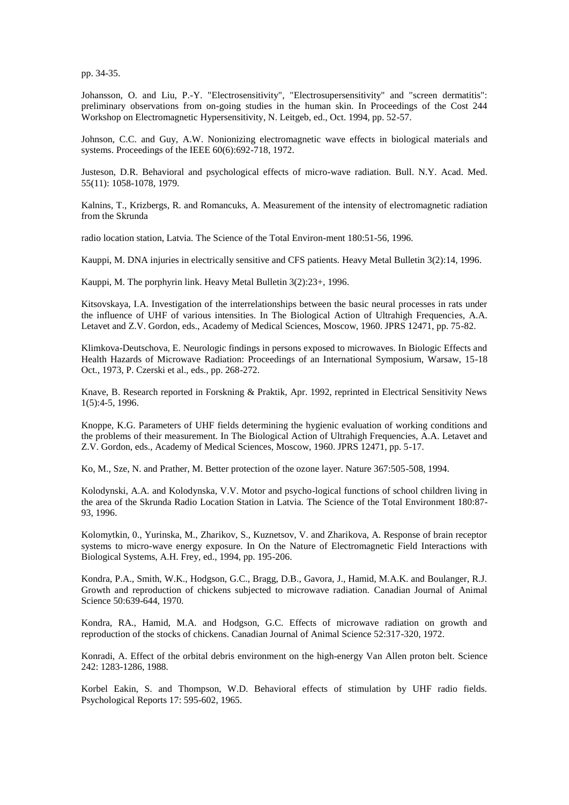pp. 34-35.

Johansson, O. and Liu, P.-Y. "Electrosensitivity", "Electrosupersensitivity" and "screen dermatitis": preliminary observations from on-going studies in the human skin. In Proceedings of the Cost 244 Workshop on Electromagnetic Hypersensitivity, N. Leitgeb, ed., Oct. 1994, pp. 52-57.

Johnson, C.C. and Guy, A.W. Nonionizing electromagnetic wave effects in biological materials and systems. Proceedings of the IEEE 60(6):692-718, 1972.

Justeson, D.R. Behavioral and psychological effects of micro-wave radiation. Bull. N.Y. Acad. Med. 55(11): 1058-1078, 1979.

Kalnins, T., Krizbergs, R. and Romancuks, A. Measurement of the intensity of electromagnetic radiation from the Skrunda

radio location station, Latvia. The Science of the Total Environ-ment 180:51-56, 1996.

Kauppi, M. DNA injuries in electrically sensitive and CFS patients. Heavy Metal Bulletin 3(2):14, 1996.

Kauppi, M. The porphyrin link. Heavy Metal Bulletin 3(2):23+, 1996.

Kitsovskaya, I.A. Investigation of the interrelationships between the basic neural processes in rats under the influence of UHF of various intensities. In The Biological Action of Ultrahigh Frequencies, A.A. Letavet and Z.V. Gordon, eds., Academy of Medical Sciences, Moscow, 1960. JPRS 12471, pp. 75-82.

Klimkova-Deutschova, E. Neurologic findings in persons exposed to microwaves. In Biologic Effects and Health Hazards of Microwave Radiation: Proceedings of an International Symposium, Warsaw, 15-18 Oct., 1973, P. Czerski et al., eds., pp. 268-272.

Knave, B. Research reported in Forskning & Praktik, Apr. 1992, reprinted in Electrical Sensitivity News 1(5):4-5, 1996.

Knoppe, K.G. Parameters of UHF fields determining the hygienic evaluation of working conditions and the problems of their measurement. In The Biological Action of Ultrahigh Frequencies, A.A. Letavet and Z.V. Gordon, eds., Academy of Medical Sciences, Moscow, 1960. JPRS 12471, pp. 5-17.

Ko, M., Sze, N. and Prather, M. Better protection of the ozone layer. Nature 367:505-508, 1994.

Kolodynski, A.A. and Kolodynska, V.V. Motor and psycho-logical functions of school children living in the area of the Skrunda Radio Location Station in Latvia. The Science of the Total Environment 180:87- 93, 1996.

Kolomytkin, 0., Yurinska, M., Zharikov, S., Kuznetsov, V. and Zharikova, A. Response of brain receptor systems to micro-wave energy exposure. In On the Nature of Electromagnetic Field Interactions with Biological Systems, A.H. Frey, ed., 1994, pp. 195-206.

Kondra, P.A., Smith, W.K., Hodgson, G.C., Bragg, D.B., Gavora, J., Hamid, M.A.K. and Boulanger, R.J. Growth and reproduction of chickens subjected to microwave radiation. Canadian Journal of Animal Science 50:639-644, 1970.

Kondra, RA., Hamid, M.A. and Hodgson, G.C. Effects of microwave radiation on growth and reproduction of the stocks of chickens. Canadian Journal of Animal Science 52:317-320, 1972.

Konradi, A. Effect of the orbital debris environment on the high-energy Van Allen proton belt. Science 242: 1283-1286, 1988.

Korbel Eakin, S. and Thompson, W.D. Behavioral effects of stimulation by UHF radio fields. Psychological Reports 17: 595-602, 1965.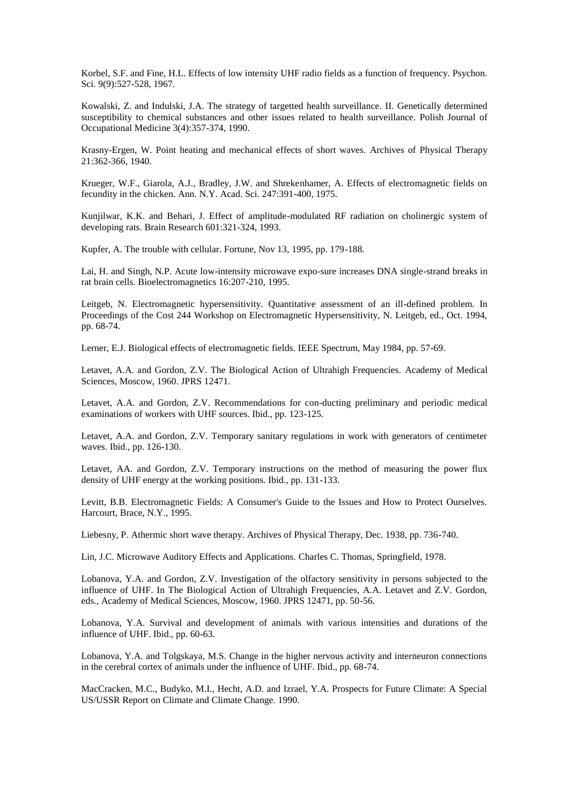Korbel, S.F. and Fine, H.L. Effects of low intensity UHF radio fields as a function of frequency. Psychon. Sci. 9(9):527-528, 1967.

Kowalski, Z. and Indulski, J.A. The strategy of targetted health surveillance. II. Genetically determined susceptibility to chemical substances and other issues related to health surveillance. Polish Journal of Occupational Medicine 3(4):357-374, 1990.

Krasny-Ergen, W. Point heating and mechanical effects of short waves. Archives of Physical Therapy 21:362-366, 1940.

Krueger, W.F., Giarola, A.J., Bradley, J.W. and Shrekenhamer, A. Effects of electromagnetic fields on fecundity in the chicken. Ann. N.Y. Acad. Sci. 247:391-400, 1975.

Kunjilwar, K.K. and Behari, J. Effect of amplitude-modulated RF radiation on cholinergic system of developing rats. Brain Research 601:321-324, 1993.

Kupfer, A. The trouble with cellular. Fortune, Nov 13, 1995, pp. 179-188.

Lai, H. and Singh, N.P. Acute low-intensity microwave expo-sure increases DNA single-strand breaks in rat brain cells. Bioelectromagnetics 16:207-210, 1995.

Leitgeb, N. Electromagnetic hypersensitivity. Quantitative assessment of an ill-defined problem. In Proceedings of the Cost 244 Workshop on Electromagnetic Hypersensitivity, N. Leitgeb, ed., Oct. 1994, pp. 68-74.

Lerner, E.J. Biological effects of electromagnetic fields. IEEE Spectrum, May 1984, pp. 57-69.

Letavet, A.A. and Gordon, Z.V. The Biological Action of Ultrahigh Frequencies. Academy of Medical Sciences, Moscow, 1960. JPRS 12471.

Letavet, A.A. and Gordon, Z.V. Recommendations for con-ducting preliminary and periodic medical examinations of workers with UHF sources. Ibid., pp. 123-125.

Letavet, A.A. and Gordon, Z.V. Temporary sanitary regulations in work with generators of centimeter waves. Ibid., pp. 126-130.

Letavet, AA. and Gordon, Z.V. Temporary instructions on the method of measuring the power flux density of UHF energy at the working positions. Ibid., pp. 131-133.

Levitt, B.B. Electromagnetic Fields: A Consumer's Guide to the Issues and How to Protect Ourselves. Harcourt, Brace, N.Y., 1995.

Liebesny, P. Athermic short wave therapy. Archives of Physical Therapy, Dec. 1938, pp. 736-740.

Lin, J.C. Microwave Auditory Effects and Applications. Charles C. Thomas, Springfield, 1978.

Lobanova, Y.A. and Gordon, Z.V. Investigation of the olfactory sensitivity in persons subjected to the influence of UHF. In The Biological Action of Ultrahigh Frequencies, A.A. Letavet and Z.V. Gordon, eds., Academy of Medical Sciences, Moscow, 1960. JPRS 12471, pp. 50-56.

Lobanova, Y.A. Survival and development of animals with various intensities and durations of the influence of UHF. Ibid., pp. 60-63.

Lobanova, Y.A. and Tolgskaya, M.S. Change in the higher nervous activity and interneuron connections in the cerebral cortex of animals under the influence of UHF. Ibid., pp. 68-74.

MacCracken, M.C., Budyko, M.I., Hecht, A.D. and Izrael, Y.A. Prospects for Future Climate: A Special US/USSR Report on Climate and Climate Change. 1990.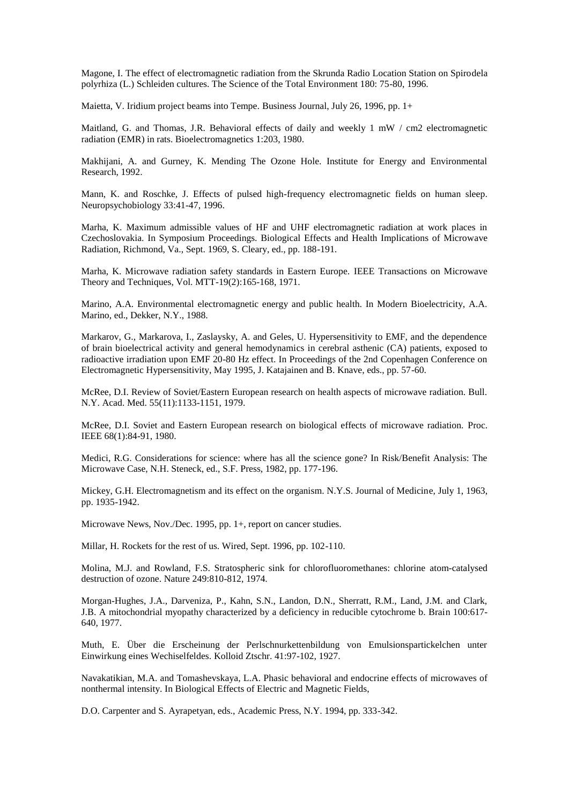Magone, I. The effect of electromagnetic radiation from the Skrunda Radio Location Station on Spirodela polyrhiza (L.) Schleiden cultures. The Science of the Total Environment 180: 75-80, 1996.

Maietta, V. Iridium project beams into Tempe. Business Journal, July 26, 1996, pp. 1+

Maitland, G. and Thomas, J.R. Behavioral effects of daily and weekly 1 mW / cm2 electromagnetic radiation (EMR) in rats. Bioelectromagnetics 1:203, 1980.

Makhijani, A. and Gurney, K. Mending The Ozone Hole. Institute for Energy and Environmental Research, 1992.

Mann, K. and Roschke, J. Effects of pulsed high-frequency electromagnetic fields on human sleep. Neuropsychobiology 33:41-47, 1996.

Marha, K. Maximum admissible values of HF and UHF electromagnetic radiation at work places in Czechoslovakia. In Symposium Proceedings. Biological Effects and Health Implications of Microwave Radiation, Richmond, Va., Sept. 1969, S. Cleary, ed., pp. 188-191.

Marha, K. Microwave radiation safety standards in Eastern Europe. IEEE Transactions on Microwave Theory and Techniques, Vol. MTT-19(2):165-168, 1971.

Marino, A.A. Environmental electromagnetic energy and public health. In Modern Bioelectricity, A.A. Marino, ed., Dekker, N.Y., 1988.

Markarov, G., Markarova, I., Zaslaysky, A. and Geles, U. Hypersensitivity to EMF, and the dependence of brain bioelectrical activity and general hemodynamics in cerebral asthenic (CA) patients, exposed to radioactive irradiation upon EMF 20-80 Hz effect. In Proceedings of the 2nd Copenhagen Conference on Electromagnetic Hypersensitivity, May 1995, J. Katajainen and B. Knave, eds., pp. 57-60.

McRee, D.I. Review of Soviet/Eastern European research on health aspects of microwave radiation. Bull. N.Y. Acad. Med. 55(11):1133-1151, 1979.

McRee, D.I. Soviet and Eastern European research on biological effects of microwave radiation. Proc. IEEE 68(1):84-91, 1980.

Medici, R.G. Considerations for science: where has all the science gone? In Risk/Benefit Analysis: The Microwave Case, N.H. Steneck, ed., S.F. Press, 1982, pp. 177-196.

Mickey, G.H. Electromagnetism and its effect on the organism. N.Y.S. Journal of Medicine, July 1, 1963, pp. 1935-1942.

Microwave News, Nov./Dec. 1995, pp. 1+, report on cancer studies.

Millar, H. Rockets for the rest of us. Wired, Sept. 1996, pp. 102-110.

Molina, M.J. and Rowland, F.S. Stratospheric sink for chlorofluoromethanes: chlorine atom-catalysed destruction of ozone. Nature 249:810-812, 1974.

Morgan-Hughes, J.A., Darveniza, P., Kahn, S.N., Landon, D.N., Sherratt, R.M., Land, J.M. and Clark, J.B. A mitochondrial myopathy characterized by a deficiency in reducible cytochrome b. Brain 100:617- 640, 1977.

Muth, E. Über die Erscheinung der Perlschnurkettenbildung von Emulsionspartickelchen unter Einwirkung eines Wechiselfeldes. Kolloid Ztschr. 41:97-102, 1927.

Navakatikian, M.A. and Tomashevskaya, L.A. Phasic behavioral and endocrine effects of microwaves of nonthermal intensity. In Biological Effects of Electric and Magnetic Fields,

D.O. Carpenter and S. Ayrapetyan, eds., Academic Press, N.Y. 1994, pp. 333-342.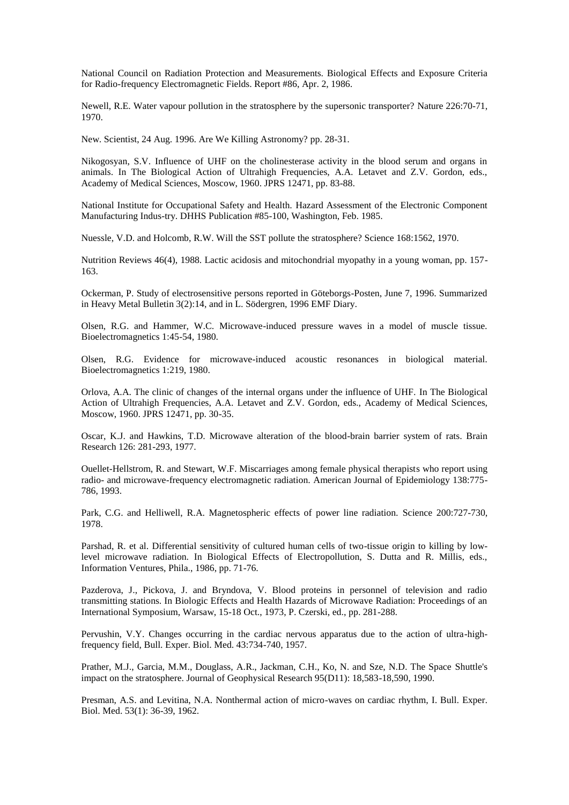National Council on Radiation Protection and Measurements. Biological Effects and Exposure Criteria for Radio-frequency Electromagnetic Fields. Report #86, Apr. 2, 1986.

Newell, R.E. Water vapour pollution in the stratosphere by the supersonic transporter? Nature 226:70-71, 1970.

New. Scientist, 24 Aug. 1996. Are We Killing Astronomy? pp. 28-31.

Nikogosyan, S.V. Influence of UHF on the cholinesterase activity in the blood serum and organs in animals. In The Biological Action of Ultrahigh Frequencies, A.A. Letavet and Z.V. Gordon, eds., Academy of Medical Sciences, Moscow, 1960. JPRS 12471, pp. 83-88.

National Institute for Occupational Safety and Health. Hazard Assessment of the Electronic Component Manufacturing Indus-try. DHHS Publication #85-100, Washington, Feb. 1985.

Nuessle, V.D. and Holcomb, R.W. Will the SST pollute the stratosphere? Science 168:1562, 1970.

Nutrition Reviews 46(4), 1988. Lactic acidosis and mitochondrial myopathy in a young woman, pp. 157- 163.

Ockerman, P. Study of electrosensitive persons reported in Göteborgs-Posten, June 7, 1996. Summarized in Heavy Metal Bulletin 3(2):14, and in L. Södergren, 1996 EMF Diary.

Olsen, R.G. and Hammer, W.C. Microwave-induced pressure waves in a model of muscle tissue. Bioelectromagnetics 1:45-54, 1980.

Olsen, R.G. Evidence for microwave-induced acoustic resonances in biological material. Bioelectromagnetics 1:219, 1980.

Orlova, A.A. The clinic of changes of the internal organs under the influence of UHF. In The Biological Action of Ultrahigh Frequencies, A.A. Letavet and Z.V. Gordon, eds., Academy of Medical Sciences, Moscow, 1960. JPRS 12471, pp. 30-35.

Oscar, K.J. and Hawkins, T.D. Microwave alteration of the blood-brain barrier system of rats. Brain Research 126: 281-293, 1977.

Ouellet-Hellstrom, R. and Stewart, W.F. Miscarriages among female physical therapists who report using radio- and microwave-frequency electromagnetic radiation. American Journal of Epidemiology 138:775- 786, 1993.

Park, C.G. and Helliwell, R.A. Magnetospheric effects of power line radiation. Science 200:727-730, 1978.

Parshad, R. et al. Differential sensitivity of cultured human cells of two-tissue origin to killing by lowlevel microwave radiation. In Biological Effects of Electropollution, S. Dutta and R. Millis, eds., Information Ventures, Phila., 1986, pp. 71-76.

Pazderova, J., Pickova, J. and Bryndova, V. Blood proteins in personnel of television and radio transmitting stations. In Biologic Effects and Health Hazards of Microwave Radiation: Proceedings of an International Symposium, Warsaw, 15-18 Oct., 1973, P. Czerski, ed., pp. 281-288.

Pervushin, V.Y. Changes occurring in the cardiac nervous apparatus due to the action of ultra-highfrequency field, Bull. Exper. Biol. Med. 43:734-740, 1957.

Prather, M.J., Garcia, M.M., Douglass, A.R., Jackman, C.H., Ko, N. and Sze, N.D. The Space Shuttle's impact on the stratosphere. Journal of Geophysical Research 95(D11): 18,583-18,590, 1990.

Presman, A.S. and Levitina, N.A. Nonthermal action of micro-waves on cardiac rhythm, I. Bull. Exper. Biol. Med. 53(1): 36-39, 1962.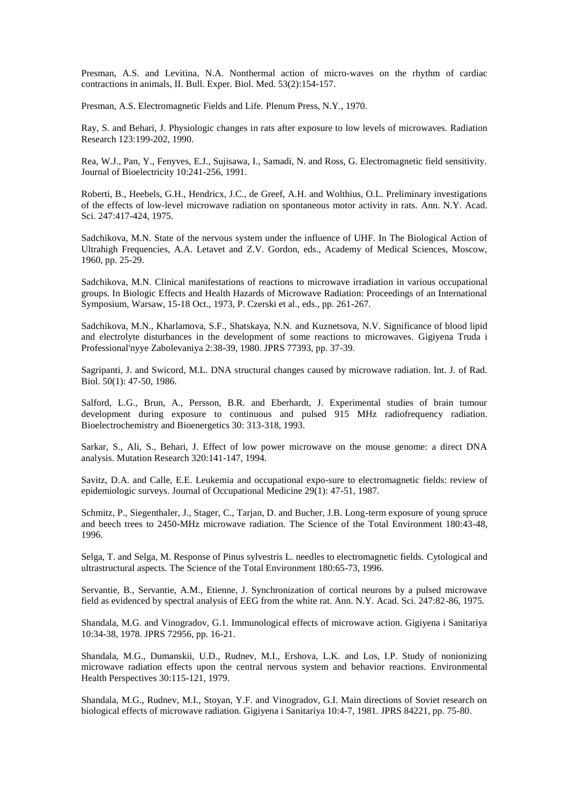Presman, A.S. and Levitina, N.A. Nonthermal action of micro-waves on the rhythm of cardiac contractions in animals, II. Bull. Exper. Biol. Med. 53(2):154-157.

Presman, A.S. Electromagnetic Fields and Life. Plenum Press, N.Y., 1970.

Ray, S. and Behari, J. Physiologic changes in rats after exposure to low levels of microwaves. Radiation Research 123:199-202, 1990.

Rea, W.J., Pan, Y., Fenyves, E.J., Sujisawa, I., Samadi, N. and Ross, G. Electromagnetic field sensitivity. Journal of Bioelectricity 10:241-256, 1991.

Roberti, B., Heebels, G.H., Hendricx, J.C., de Greef, A.H. and Wolthius, O.L. Preliminary investigations of the effects of low-level microwave radiation on spontaneous motor activity in rats. Ann. N.Y. Acad. Sci. 247:417-424, 1975.

Sadchikova, M.N. State of the nervous system under the influence of UHF. In The Biological Action of Ultrahigh Frequencies, A.A. Letavet and Z.V. Gordon, eds., Academy of Medical Sciences, Moscow, 1960, pp. 25-29.

Sadchikova, M.N. Clinical manifestations of reactions to microwave irradiation in various occupational groups. In Biologic Effects and Health Hazards of Microwave Radiation: Proceedings of an International Symposium, Warsaw, 15-18 Oct., 1973, P. Czerski et al., eds., pp. 261-267.

Sadchikova, M.N., Kharlamova, S.F., Shatskaya, N.N. and Kuznetsova, N.V. Significance of blood lipid and electrolyte disturbances in the development of some reactions to microwaves. Gigiyena Truda i Professional'nyye Zabolevaniya 2:38-39, 1980. JPRS 77393, pp. 37-39.

Sagripanti, J. and Swicord, M.L. DNA structural changes caused by microwave radiation. Int. J. of Rad. Biol. 50(1): 47-50, 1986.

Salford, L.G., Brun, A., Persson, B.R. and Eberhardt, J. Experimental studies of brain tumour development during exposure to continuous and pulsed 915 MHz radiofrequency radiation. Bioelectrochemistry and Bioenergetics 30: 313-318, 1993.

Sarkar, S., Ali, S., Behari, J. Effect of low power microwave on the mouse genome: a direct DNA analysis. Mutation Research 320:141-147, 1994.

Savitz, D.A. and Calle, E.E. Leukemia and occupational expo-sure to electromagnetic fields: review of epidemiologic surveys. Journal of Occupational Medicine 29(1): 47-51, 1987.

Schmitz, P., Siegenthaler, J., Stager, C., Tarjan, D. and Bucher, J.B. Long-term exposure of young spruce and beech trees to 2450-MHz microwave radiation. The Science of the Total Environment 180:43-48, 1996.

Selga, T. and Selga, M. Response of Pinus sylvestris L. needles to electromagnetic fields. Cytological and ultrastructural aspects. The Science of the Total Environment 180:65-73, 1996.

Servantie, B., Servantie, A.M., Etienne, J. Synchronization of cortical neurons by a pulsed microwave field as evidenced by spectral analysis of EEG from the white rat. Ann. N.Y. Acad. Sci. 247:82-86, 1975.

Shandala, M.G. and Vinogradov, G.1. Immunological effects of microwave action. Gigiyena i Sanitariya 10:34-38, 1978. JPRS 72956, pp. 16-21.

Shandala, M.G., Dumanskii, U.D., Rudnev, M.I., Ershova, L.K. and Los, I.P. Study of nonionizing microwave radiation effects upon the central nervous system and behavior reactions. Environmental Health Perspectives 30:115-121, 1979.

Shandala, M.G., Rudnev, M.I., Stoyan, Y.F. and Vinogradov, G.I. Main directions of Soviet research on biological effects of microwave radiation. Gigiyena i Sanitariya 10:4-7, 1981. JPRS 84221, pp. 75-80.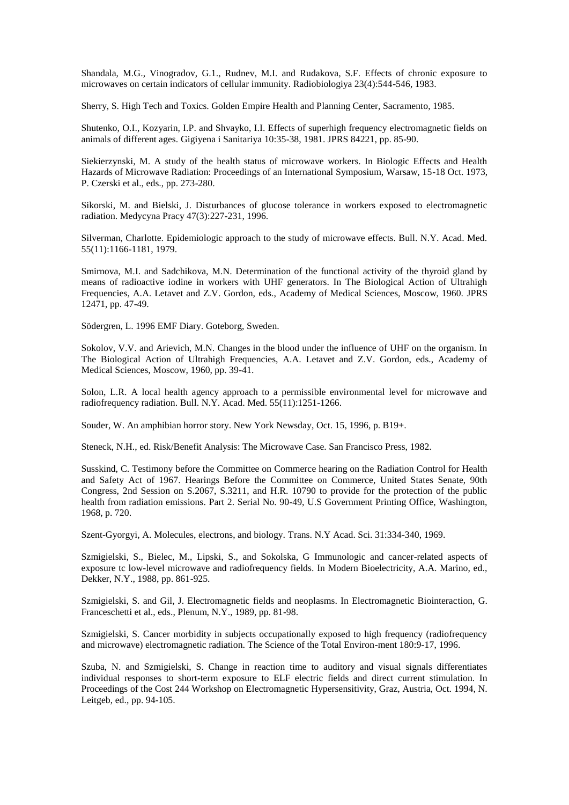Shandala, M.G., Vinogradov, G.1., Rudnev, M.I. and Rudakova, S.F. Effects of chronic exposure to microwaves on certain indicators of cellular immunity. Radiobiologiya 23(4):544-546, 1983.

Sherry, S. High Tech and Toxics. Golden Empire Health and Planning Center, Sacramento, 1985.

Shutenko, O.I., Kozyarin, I.P. and Shvayko, I.I. Effects of superhigh frequency electromagnetic fields on animals of different ages. Gigiyena i Sanitariya 10:35-38, 1981. JPRS 84221, pp. 85-90.

Siekierzynski, M. A study of the health status of microwave workers. In Biologic Effects and Health Hazards of Microwave Radiation: Proceedings of an International Symposium, Warsaw, 15-18 Oct. 1973, P. Czerski et al., eds., pp. 273-280.

Sikorski, M. and Bielski, J. Disturbances of glucose tolerance in workers exposed to electromagnetic radiation. Medycyna Pracy 47(3):227-231, 1996.

Silverman, Charlotte. Epidemiologic approach to the study of microwave effects. Bull. N.Y. Acad. Med. 55(11):1166-1181, 1979.

Smirnova, M.I. and Sadchikova, M.N. Determination of the functional activity of the thyroid gland by means of radioactive iodine in workers with UHF generators. In The Biological Action of Ultrahigh Frequencies, A.A. Letavet and Z.V. Gordon, eds., Academy of Medical Sciences, Moscow, 1960. JPRS 12471, pp. 47-49.

Södergren, L. 1996 EMF Diary. Goteborg, Sweden.

Sokolov, V.V. and Arievich, M.N. Changes in the blood under the influence of UHF on the organism. In The Biological Action of Ultrahigh Frequencies, A.A. Letavet and Z.V. Gordon, eds., Academy of Medical Sciences, Moscow, 1960, pp. 39-41.

Solon, L.R. A local health agency approach to a permissible environmental level for microwave and radiofrequency radiation. Bull. N.Y. Acad. Med. 55(11):1251-1266.

Souder, W. An amphibian horror story. New York Newsday, Oct. 15, 1996, p. B19+.

Steneck, N.H., ed. Risk/Benefit Analysis: The Microwave Case. San Francisco Press, 1982.

Susskind, C. Testimony before the Committee on Commerce hearing on the Radiation Control for Health and Safety Act of 1967. Hearings Before the Committee on Commerce, United States Senate, 90th Congress, 2nd Session on S.2067, S.3211, and H.R. 10790 to provide for the protection of the public health from radiation emissions. Part 2. Serial No. 90-49, U.S Government Printing Office, Washington, 1968, p. 720.

Szent-Gyorgyi, A. Molecules, electrons, and biology. Trans. N.Y Acad. Sci. 31:334-340, 1969.

Szmigielski, S., Bielec, M., Lipski, S., and Sokolska, G Immunologic and cancer-related aspects of exposure tc low-level microwave and radiofrequency fields. In Modern Bioelectricity, A.A. Marino, ed., Dekker, N.Y., 1988, pp. 861-925.

Szmigielski, S. and Gil, J. Electromagnetic fields and neoplasms. In Electromagnetic Biointeraction, G. Franceschetti et al., eds., Plenum, N.Y., 1989, pp. 81-98.

Szmigielski, S. Cancer morbidity in subjects occupationally exposed to high frequency (radiofrequency and microwave) electromagnetic radiation. The Science of the Total Environ-ment 180:9-17, 1996.

Szuba, N. and Szmigielski, S. Change in reaction time to auditory and visual signals differentiates individual responses to short-term exposure to ELF electric fields and direct current stimulation. In Proceedings of the Cost 244 Workshop on Electromagnetic Hypersensitivity, Graz, Austria, Oct. 1994, N. Leitgeb, ed., pp. 94-105.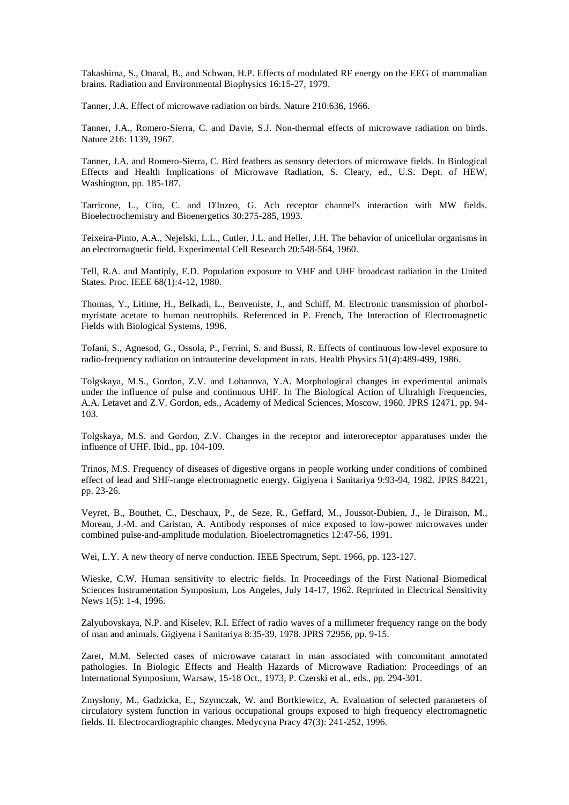Takashima, S., Onaral, B., and Schwan, H.P. Effects of modulated RF energy on the EEG of mammalian brains. Radiation and Environmental Biophysics 16:15-27, 1979.

Tanner, J.A. Effect of microwave radiation on birds. Nature 210:636, 1966.

Tanner, J.A., Romero-Sierra, C. and Davie, S.J. Non-thermal effects of microwave radiation on birds. Nature 216: 1139, 1967.

Tanner, J.A. and Romero-Sierra, C. Bird feathers as sensory detectors of microwave fields. In Biological Effects and Health Implications of Microwave Radiation, S. Cleary, ed., U.S. Dept. of HEW, Washington, pp. 185-187.

Tarricone, L., Cito, C. and D'Inzeo, G. Ach receptor channel's interaction with MW fields. Bioelectrochemistry and Bioenergetics 30:275-285, 1993.

Teixeira-Pinto, A.A., Nejelski, L.L., Cutler, J.L. and Heller, J.H. The behavior of unicellular organisms in an electromagnetic field. Experimental Cell Research 20:548-564, 1960.

Tell, R.A. and Mantiply, E.D. Population exposure to VHF and UHF broadcast radiation in the United States. Proc. IEEE 68(1):4-12, 1980.

Thomas, Y., Litime, H., Belkadi, L., Benveniste, J., and Schiff, M. Electronic transmission of phorbolmyristate acetate to human neutrophils. Referenced in P. French, The Interaction of Electromagnetic Fields with Biological Systems, 1996.

Tofani, S., Agnesod, G., Ossola, P., Ferrini, S. and Bussi, R. Effects of continuous low-level exposure to radio-frequency radiation on intrauterine development in rats. Health Physics 51(4):489-499, 1986.

Tolgskaya, M.S., Gordon, Z.V. and Lobanova, Y.A. Morphological changes in experimental animals under the influence of pulse and continuous UHF. In The Biological Action of Ultrahigh Frequencies, A.A. Letavet and Z.V. Gordon, eds., Academy of Medical Sciences, Moscow, 1960. JPRS 12471, pp. 94- 103.

Tolgskaya, M.S. and Gordon, Z.V. Changes in the receptor and interoreceptor apparatuses under the influence of UHF. Ibid., pp. 104-109.

Trinos, M.S. Frequency of diseases of digestive organs in people working under conditions of combined effect of lead and SHF-range electromagnetic energy. Gigiyena i Sanitariya 9:93-94, 1982. JPRS 84221, pp. 23-26.

Veyret, B., Bouthet, C., Deschaux, P., de Seze, R., Geffard, M., Joussot-Dubien, J., le Diraison, M., Moreau, J.-M. and Caristan, A. Antibody responses of mice exposed to low-power microwaves under combined pulse-and-amplitude modulation. Bioelectromagnetics 12:47-56, 1991.

Wei, L.Y. A new theory of nerve conduction. IEEE Spectrum, Sept. 1966, pp. 123-127.

Wieske, C.W. Human sensitivity to electric fields. In Proceedings of the First National Biomedical Sciences Instrumentation Symposium, Los Angeles, July 14-17, 1962. Reprinted in Electrical Sensitivity News 1(5): 1-4, 1996.

Zalyubovskaya, N.P. and Kiselev, R.I. Effect of radio waves of a millimeter frequency range on the body of man and animals. Gigiyena i Sanitariya 8:35-39, 1978. JPRS 72956, pp. 9-15.

Zaret, M.M. Selected cases of microwave cataract in man associated with concomitant annotated pathologies. In Biologic Effects and Health Hazards of Microwave Radiation: Proceedings of an International Symposium, Warsaw, 15-18 Oct., 1973, P. Czerski et al., eds., pp. 294-301.

Zmyslony, M., Gadzicka, E., Szymczak, W. and Bortkiewicz, A. Evaluation of selected parameters of circulatory system function in various occupational groups exposed to high frequency electromagnetic fields. II. Electrocardiographic changes. Medycyna Pracy 47(3): 241-252, 1996.